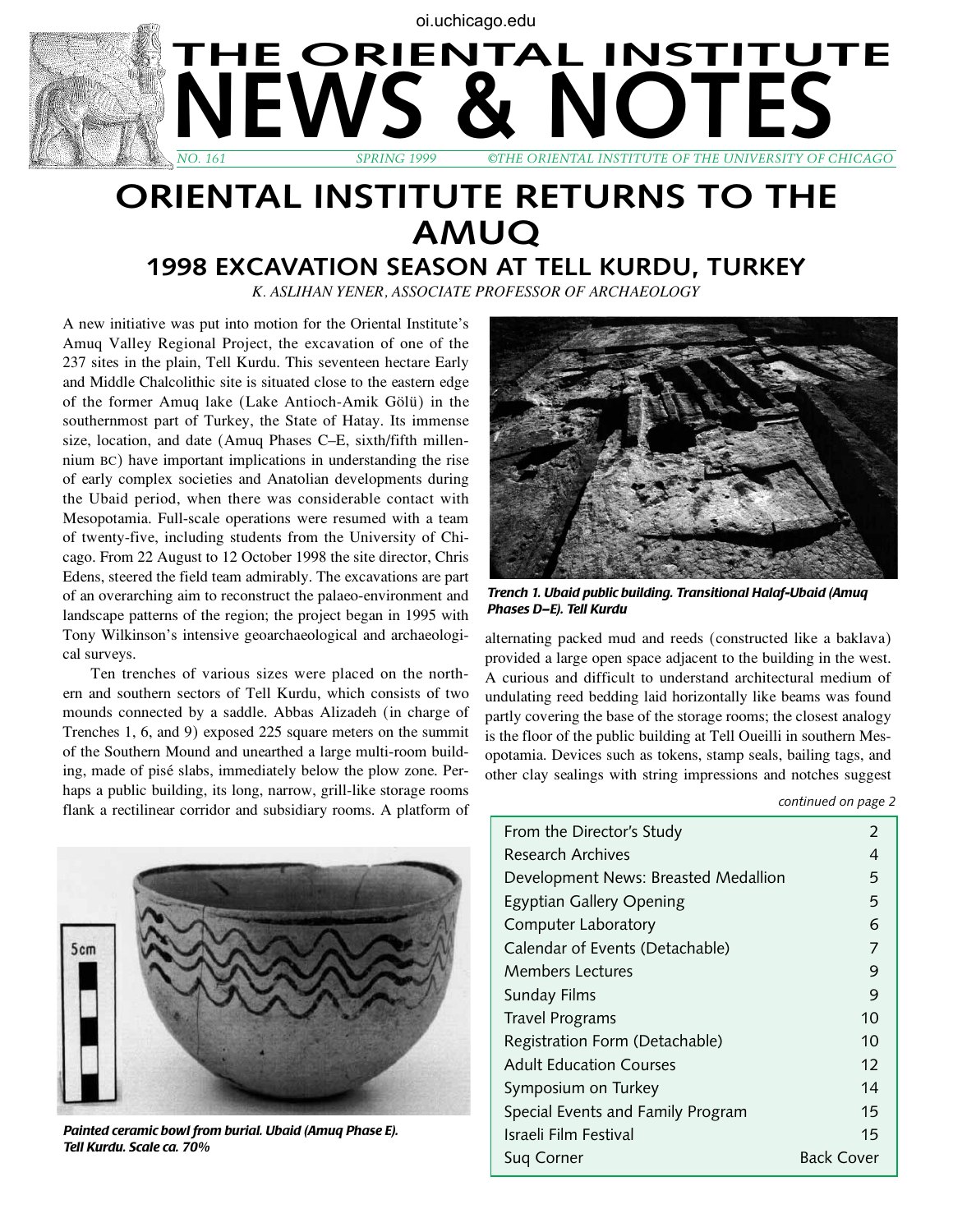## **SPRING 1999 OTHE ORIENTAL INSTITUTE OF THE UNIVERSITY OF G** *NO. 161 SPRING 1999 ©THE Oriental INSTITUTE OF THE University OF CHICAGO* **THE ORIENTAL INSTITUTE** oi.uchicago.edu

## **Oriental INSTITUTE RETURNS to THE AMUQ**

## **1998 EXCAVATION SEASON at Tell Kurdu, Turkey**

*K. AslIhan Yener, Associate Professor of Archaeology*

A new initiative was put into motion for the Oriental Institute's Amuq Valley Regional Project, the excavation of one of the 237 sites in the plain, Tell Kurdu. This seventeen hectare Early and Middle Chalcolithic site is situated close to the eastern edge of the former Amuq lake (Lake Antioch-Amik Gölü) in the southernmost part of Turkey, the State of Hatay. Its immense size, location, and date (Amuq Phases C–E, sixth/fifth millennium bc) have important implications in understanding the rise of early complex societies and Anatolian developments during the Ubaid period, when there was considerable contact with Mesopotamia. Full-scale operations were resumed with a team of twenty-five, including students from the University of Chicago. From 22 August to 12 October 1998 the site director, Chris Edens, steered the field team admirably. The excavations are part of an overarching aim to reconstruct the palaeo-environment and landscape patterns of the region; the project began in 1995 with Tony Wilkinson's intensive geoarchaeological and archaeological surveys.

Ten trenches of various sizes were placed on the northern and southern sectors of Tell Kurdu, which consists of two mounds connected by a saddle. Abbas Alizadeh (in charge of Trenches 1, 6, and 9) exposed 225 square meters on the summit of the Southern Mound and unearthed a large multi-room building, made of pisé slabs, immediately below the plow zone. Perhaps a public building, its long, narrow, grill-like storage rooms flank a rectilinear corridor and subsidiary rooms. A platform of



*Trench 1. Ubaid public building. Transitional Halaf-Ubaid (Amuq Phases D–E). Tell Kurdu*

alternating packed mud and reeds (constructed like a baklava) provided a large open space adjacent to the building in the west. A curious and difficult to understand architectural medium of undulating reed bedding laid horizontally like beams was found partly covering the base of the storage rooms; the closest analogy is the floor of the public building at Tell Oueilli in southern Mesopotamia. Devices such as tokens, stamp seals, bailing tags, and other clay sealings with string impressions and notches suggest

*continued on page 2*



*Painted ceramic bowl from burial. Ubaid (Amuq Phase E). Tell Kurdu. Scale ca. 70%*

| From the Director's Study            | 2                 |
|--------------------------------------|-------------------|
| Research Archives                    | 4                 |
| Development News: Breasted Medallion | 5                 |
| <b>Egyptian Gallery Opening</b>      | 5                 |
| Computer Laboratory                  | 6                 |
| Calendar of Events (Detachable)      | 7                 |
| <b>Members Lectures</b>              | 9                 |
| Sunday Films                         | 9                 |
| <b>Travel Programs</b>               | 10                |
| Registration Form (Detachable)       | 10                |
| <b>Adult Education Courses</b>       | 12                |
| Symposium on Turkey                  | 14                |
| Special Events and Family Program    | 15                |
| Israeli Film Festival                | 15                |
| Sug Corner                           | <b>Back Cover</b> |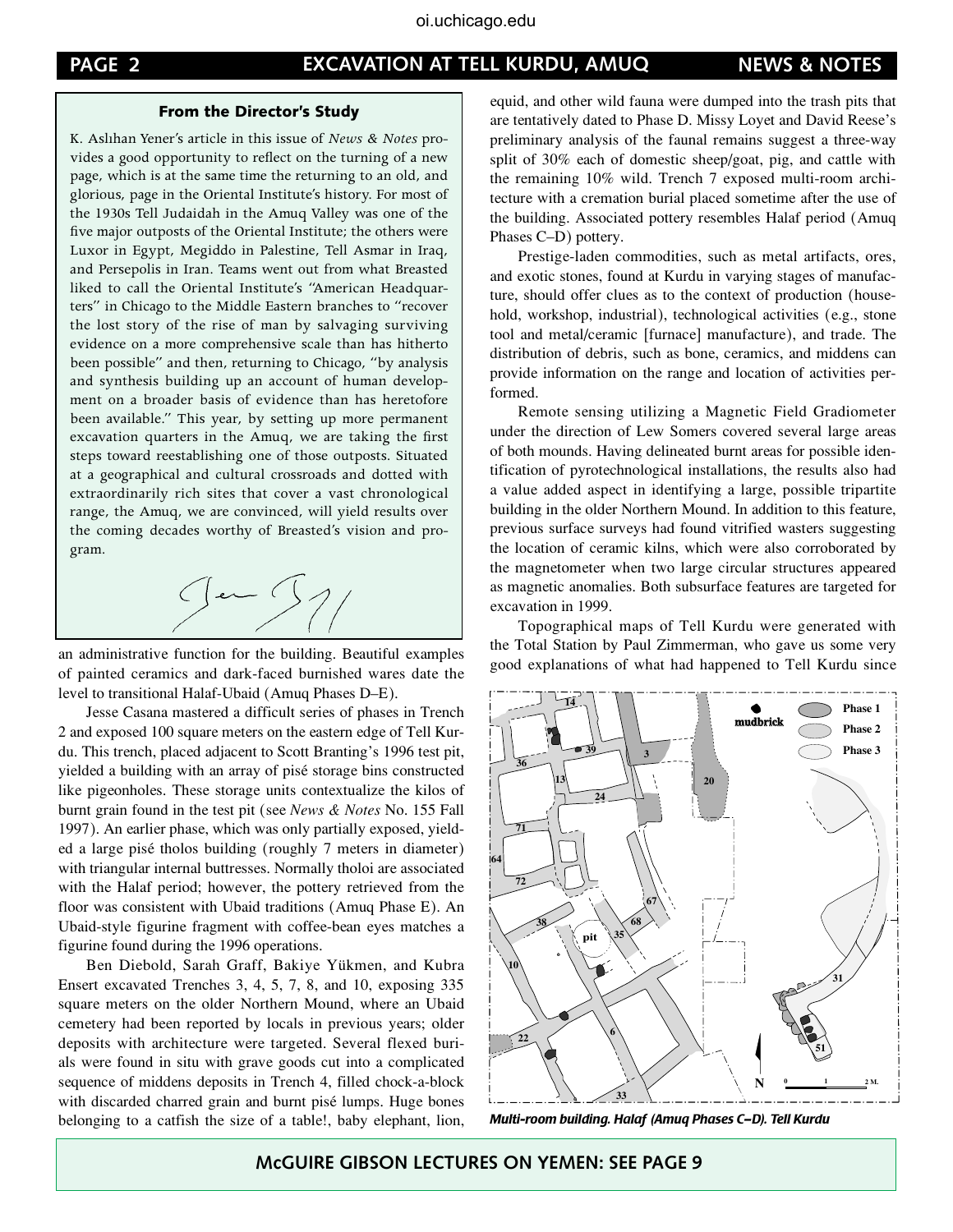#### **PAGE 2 NEWS & NOTES EXCAVATION AT TELL KURDU, AMUQ**

#### From the Director's Study

K. Aslıhan Yener's article in this issue of *News & Notes* provides a good opportunity to reflect on the turning of a new page, which is at the same time the returning to an old, and glorious, page in the Oriental Institute's history. For most of the 1930s Tell Judaidah in the Amuq Valley was one of the five major outposts of the Oriental Institute; the others were Luxor in Egypt, Megiddo in Palestine, Tell Asmar in Iraq, and Persepolis in Iran. Teams went out from what Breasted liked to call the Oriental Institute's "American Headquarters" in Chicago to the Middle Eastern branches to "recover the lost story of the rise of man by salvaging surviving evidence on a more comprehensive scale than has hitherto been possible" and then, returning to Chicago, "by analysis and synthesis building up an account of human development on a broader basis of evidence than has heretofore been available." This year, by setting up more permanent excavation quarters in the Amuq, we are taking the first steps toward reestablishing one of those outposts. Situated at a geographical and cultural crossroads and dotted with extraordinarily rich sites that cover a vast chronological range, the Amuq, we are convinced, will yield results over the coming decades worthy of Breasted's vision and program.



an administrative function for the building. Beautiful examples of painted ceramics and dark-faced burnished wares date the level to transitional Halaf-Ubaid (Amuq Phases D–E).

Jesse Casana mastered a difficult series of phases in Trench 2 and exposed 100 square meters on the eastern edge of Tell Kurdu. This trench, placed adjacent to Scott Branting's 1996 test pit, yielded a building with an array of pisé storage bins constructed like pigeonholes. These storage units contextualize the kilos of burnt grain found in the test pit (see *News & Notes* No. 155 Fall 1997). An earlier phase, which was only partially exposed, yielded a large pisé tholos building (roughly 7 meters in diameter) with triangular internal buttresses. Normally tholoi are associated with the Halaf period; however, the pottery retrieved from the floor was consistent with Ubaid traditions (Amuq Phase E). An Ubaid-style figurine fragment with coffee-bean eyes matches a figurine found during the 1996 operations.

Ben Diebold, Sarah Graff, Bakiye Yükmen, and Kubra Ensert excavated Trenches 3, 4, 5, 7, 8, and 10, exposing 335 square meters on the older Northern Mound, where an Ubaid cemetery had been reported by locals in previous years; older deposits with architecture were targeted. Several flexed burials were found in situ with grave goods cut into a complicated sequence of middens deposits in Trench 4, filled chock-a-block with discarded charred grain and burnt pisé lumps. Huge bones belonging to a catfish the size of a table!, baby elephant, lion,

equid, and other wild fauna were dumped into the trash pits that are tentatively dated to Phase D. Missy Loyet and David Reese's preliminary analysis of the faunal remains suggest a three-way split of 30% each of domestic sheep/goat, pig, and cattle with the remaining 10% wild. Trench 7 exposed multi-room architecture with a cremation burial placed sometime after the use of the building. Associated pottery resembles Halaf period (Amuq Phases C–D) pottery.

Prestige-laden commodities, such as metal artifacts, ores, and exotic stones, found at Kurdu in varying stages of manufacture, should offer clues as to the context of production (household, workshop, industrial), technological activities (e.g., stone tool and metal/ceramic [furnace] manufacture), and trade. The distribution of debris, such as bone, ceramics, and middens can provide information on the range and location of activities performed.

Remote sensing utilizing a Magnetic Field Gradiometer under the direction of Lew Somers covered several large areas of both mounds. Having delineated burnt areas for possible identification of pyrotechnological installations, the results also had a value added aspect in identifying a large, possible tripartite building in the older Northern Mound. In addition to this feature, previous surface surveys had found vitrified wasters suggesting the location of ceramic kilns, which were also corroborated by the magnetometer when two large circular structures appeared as magnetic anomalies. Both subsurface features are targeted for excavation in 1999.

Topographical maps of Tell Kurdu were generated with the Total Station by Paul Zimmerman, who gave us some very good explanations of what had happened to Tell Kurdu since



*Multi-room building. Halaf (Amuq Phases C–D). Tell Kurdu*

 **McGUIRE GIBSON LECTURES ON YEMEN: SEE PAGE 9**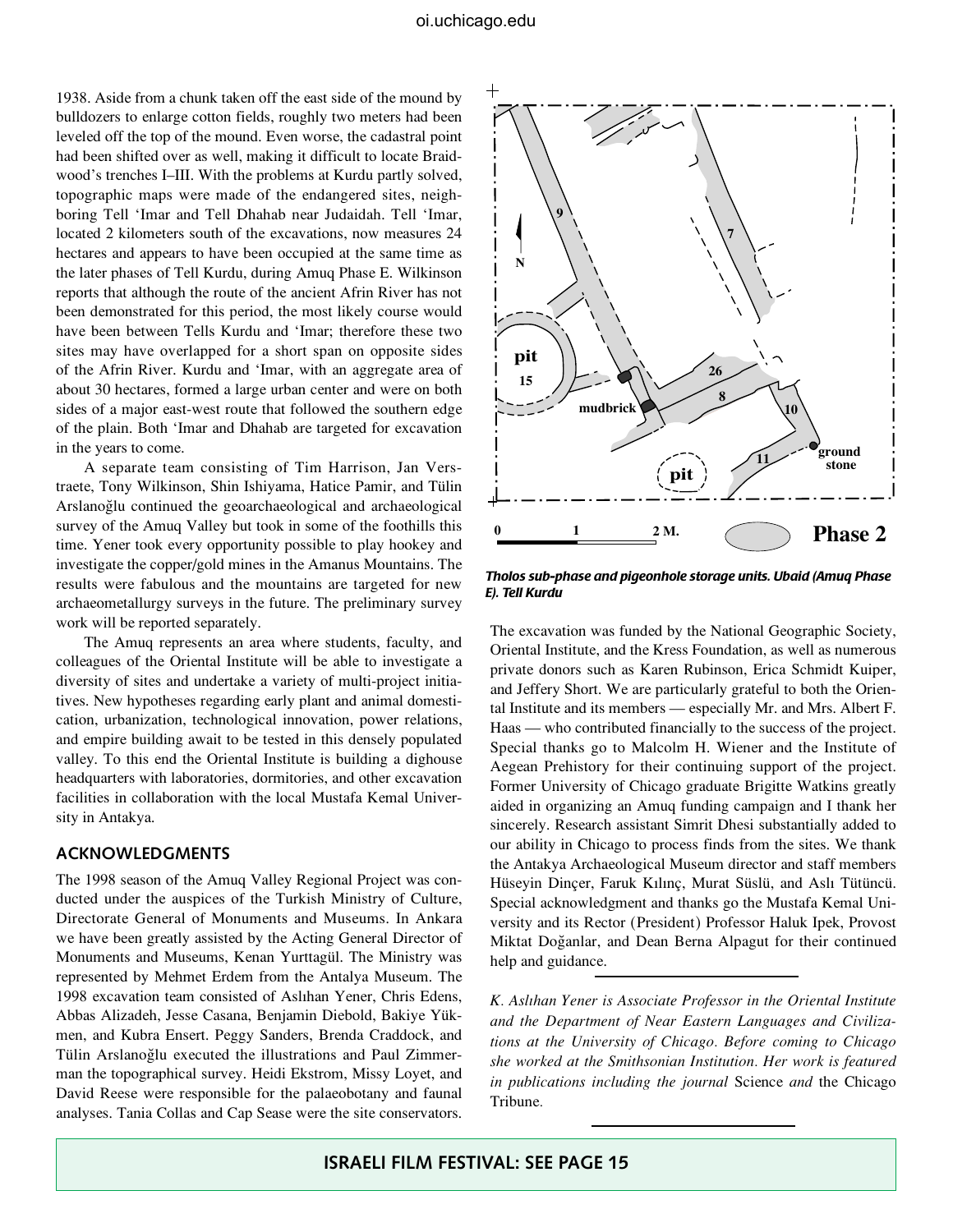1938. Aside from a chunk taken off the east side of the mound by bulldozers to enlarge cotton fields, roughly two meters had been leveled off the top of the mound. Even worse, the cadastral point had been shifted over as well, making it difficult to locate Braidwood's trenches I–III. With the problems at Kurdu partly solved, topographic maps were made of the endangered sites, neighboring Tell 'Imar and Tell Dhahab near Judaidah. Tell 'Imar, located 2 kilometers south of the excavations, now measures 24 hectares and appears to have been occupied at the same time as the later phases of Tell Kurdu, during Amuq Phase E. Wilkinson reports that although the route of the ancient Afrin River has not been demonstrated for this period, the most likely course would have been between Tells Kurdu and 'Imar; therefore these two sites may have overlapped for a short span on opposite sides of the Afrin River. Kurdu and 'Imar, with an aggregate area of about 30 hectares, formed a large urban center and were on both sides of a major east-west route that followed the southern edge of the plain. Both 'Imar and Dhahab are targeted for excavation in the years to come.

A separate team consisting of Tim Harrison, Jan Verstraete, Tony Wilkinson, Shin Ishiyama, Hatice Pamir, and Tülin Arslanoğlu continued the geoarchaeological and archaeological survey of the Amuq Valley but took in some of the foothills this time. Yener took every opportunity possible to play hookey and investigate the copper/gold mines in the Amanus Mountains. The results were fabulous and the mountains are targeted for new archaeometallurgy surveys in the future. The preliminary survey work will be reported separately.

The Amuq represents an area where students, faculty, and colleagues of the Oriental Institute will be able to investigate a diversity of sites and undertake a variety of multi-project initiatives. New hypotheses regarding early plant and animal domestication, urbanization, technological innovation, power relations, and empire building await to be tested in this densely populated valley. To this end the Oriental Institute is building a dighouse headquarters with laboratories, dormitories, and other excavation facilities in collaboration with the local Mustafa Kemal University in Antakya.

#### **Acknowledgments**

The 1998 season of the Amuq Valley Regional Project was conducted under the auspices of the Turkish Ministry of Culture, Directorate General of Monuments and Museums. In Ankara we have been greatly assisted by the Acting General Director of Monuments and Museums, Kenan Yurttagül. The Ministry was represented by Mehmet Erdem from the Antalya Museum. The 1998 excavation team consisted of Aslıhan Yener, Chris Edens, Abbas Alizadeh, Jesse Casana, Benjamin Diebold, Bakiye Yükmen, and Kubra Ensert. Peggy Sanders, Brenda Craddock, and Tülin Arslanoğlu executed the illustrations and Paul Zimmerman the topographical survey. Heidi Ekstrom, Missy Loyet, and David Reese were responsible for the palaeobotany and faunal analyses. Tania Collas and Cap Sease were the site conservators.



*Tholos sub-phase and pigeonhole storage units. Ubaid (Amuq Phase E). Tell Kurdu*

The excavation was funded by the National Geographic Society, Oriental Institute, and the Kress Foundation, as well as numerous private donors such as Karen Rubinson, Erica Schmidt Kuiper, and Jeffery Short. We are particularly grateful to both the Oriental Institute and its members — especially Mr. and Mrs. Albert F. Haas — who contributed financially to the success of the project. Special thanks go to Malcolm H. Wiener and the Institute of Aegean Prehistory for their continuing support of the project. Former University of Chicago graduate Brigitte Watkins greatly aided in organizing an Amuq funding campaign and I thank her sincerely. Research assistant Simrit Dhesi substantially added to our ability in Chicago to process finds from the sites. We thank the Antakya Archaeological Museum director and staff members Hüseyin Dinçer, Faruk Kılınç, Murat Süslü, and Aslı Tütüncü. Special acknowledgment and thanks go the Mustafa Kemal University and its Rector (President) Professor Haluk Ipek, Provost Miktat Doğanlar, and Dean Berna Alpagut for their continued help and guidance.

*K. Aslıhan Yener is Associate Professor in the Oriental Institute and the Department of Near Eastern Languages and Civilizations at the University of Chicago. Before coming to Chicago she worked at the Smithsonian Institution. Her work is featured in publications including the journal* Science *and* the Chicago Tribune*.*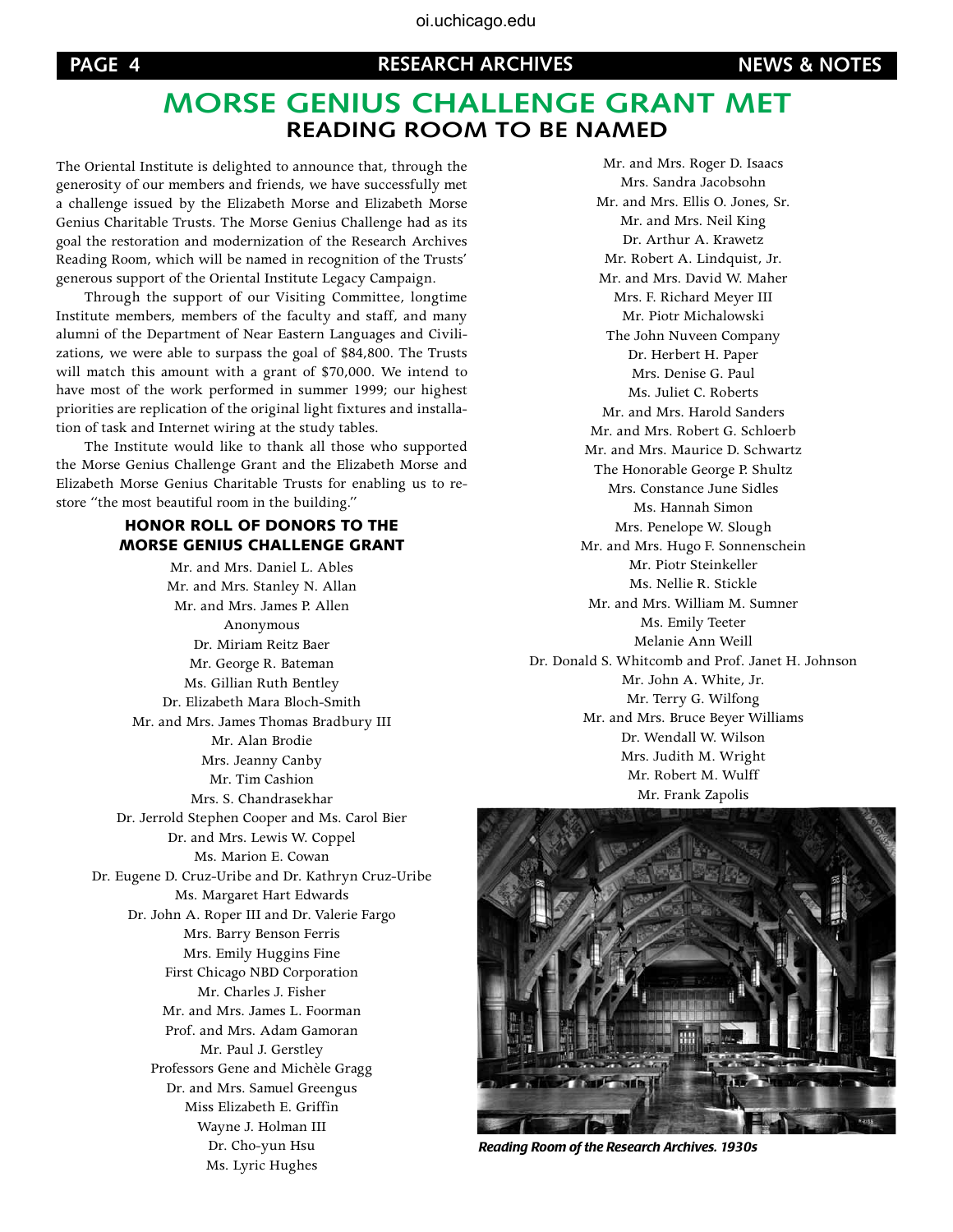## **Morse Genius Challenge Grant Met Reading Room to be Named**

The Oriental Institute is delighted to announce that, through the generosity of our members and friends, we have successfully met a challenge issued by the Elizabeth Morse and Elizabeth Morse Genius Charitable Trusts. The Morse Genius Challenge had as its goal the restoration and modernization of the Research Archives Reading Room, which will be named in recognition of the Trusts' generous support of the Oriental Institute Legacy Campaign.

Through the support of our Visiting Committee, longtime Institute members, members of the faculty and staff, and many alumni of the Department of Near Eastern Languages and Civilizations, we were able to surpass the goal of \$84,800. The Trusts will match this amount with a grant of \$70,000. We intend to have most of the work performed in summer 1999; our highest priorities are replication of the original light fixtures and installation of task and Internet wiring at the study tables.

The Institute would like to thank all those who supported the Morse Genius Challenge Grant and the Elizabeth Morse and Elizabeth Morse Genius Charitable Trusts for enabling us to restore "the most beautiful room in the building."

#### HONOR ROLL OF DONORS TO THE MORSE GENIUS CHALLENGE GRANT

Mr. and Mrs. Daniel L. Ables Mr. and Mrs. Stanley N. Allan Mr. and Mrs. James P. Allen Anonymous Dr. Miriam Reitz Baer Mr. George R. Bateman Ms. Gillian Ruth Bentley Dr. Elizabeth Mara Bloch-Smith Mr. and Mrs. James Thomas Bradbury III Mr. Alan Brodie Mrs. Jeanny Canby Mr. Tim Cashion Mrs. S. Chandrasekhar Dr. Jerrold Stephen Cooper and Ms. Carol Bier Dr. and Mrs. Lewis W. Coppel Ms. Marion E. Cowan Dr. Eugene D. Cruz-Uribe and Dr. Kathryn Cruz-Uribe Ms. Margaret Hart Edwards Dr. John A. Roper III and Dr. Valerie Fargo Mrs. Barry Benson Ferris Mrs. Emily Huggins Fine First Chicago NBD Corporation Mr. Charles J. Fisher Mr. and Mrs. James L. Foorman Prof. and Mrs. Adam Gamoran Mr. Paul J. Gerstley Professors Gene and Michèle Gragg Dr. and Mrs. Samuel Greengus Miss Elizabeth E. Griffin Wayne J. Holman III Dr. Cho-yun Hsu Ms. Lyric Hughes

Mr. and Mrs. Roger D. Isaacs Mrs. Sandra Jacobsohn Mr. and Mrs. Ellis O. Jones, Sr. Mr. and Mrs. Neil King Dr. Arthur A. Krawetz Mr. Robert A. Lindquist, Jr. Mr. and Mrs. David W. Maher Mrs. F. Richard Meyer III Mr. Piotr Michalowski The John Nuveen Company Dr. Herbert H. Paper Mrs. Denise G. Paul Ms. Juliet C. Roberts Mr. and Mrs. Harold Sanders Mr. and Mrs. Robert G. Schloerb Mr. and Mrs. Maurice D. Schwartz The Honorable George P. Shultz Mrs. Constance June Sidles Ms. Hannah Simon Mrs. Penelope W. Slough Mr. and Mrs. Hugo F. Sonnenschein Mr. Piotr Steinkeller Ms. Nellie R. Stickle Mr. and Mrs. William M. Sumner Ms. Emily Teeter Melanie Ann Weill Dr. Donald S. Whitcomb and Prof. Janet H. Johnson Mr. John A. White, Jr. Mr. Terry G. Wilfong Mr. and Mrs. Bruce Beyer Williams Dr. Wendall W. Wilson Mrs. Judith M. Wright Mr. Robert M. Wulff Mr. Frank Zapolis



*Reading Room of the Research Archives. 1930s*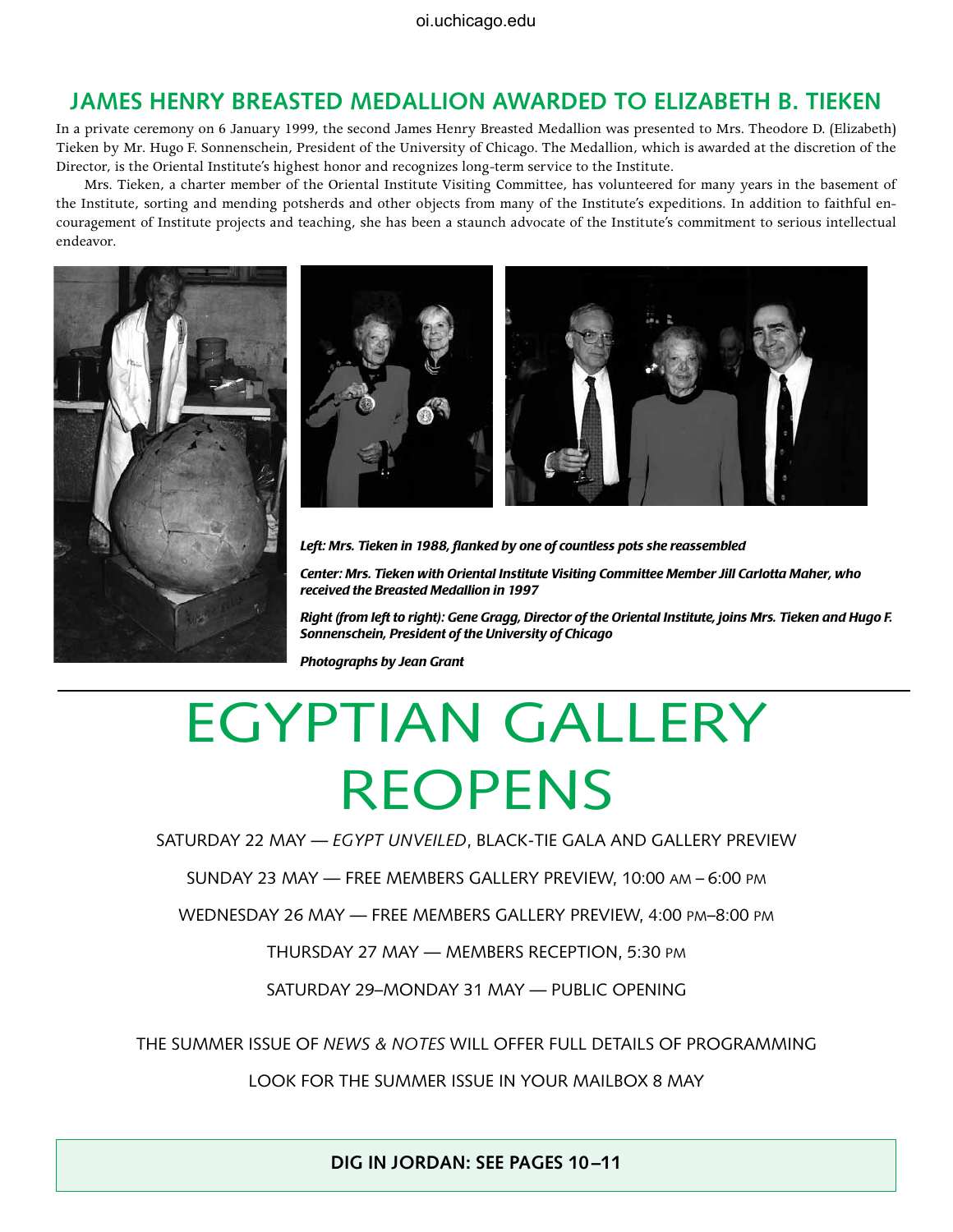## **JAMES HENRY BREASTED MEDALLION AWARDED TO ELIZABETH B. TIEKEN**

In a private ceremony on 6 January 1999, the second James Henry Breasted Medallion was presented to Mrs. Theodore D. (Elizabeth) Tieken by Mr. Hugo F. Sonnenschein, President of the University of Chicago. The Medallion, which is awarded at the discretion of the Director, is the Oriental Institute's highest honor and recognizes long-term service to the Institute.

Mrs. Tieken, a charter member of the Oriental Institute Visiting Committee, has volunteered for many years in the basement of the Institute, sorting and mending potsherds and other objects from many of the Institute's expeditions. In addition to faithful encouragement of Institute projects and teaching, she has been a staunch advocate of the Institute's commitment to serious intellectual endeavor.





*Left: Mrs. Tieken in 1988, flanked by one of countless pots she reassembled*

*Center: Mrs. Tieken with Oriental Institute Visiting Committee Member Jill Carlotta Maher, who received the Breasted Medallion in 1997*

*Right (from left to right): Gene Gragg, Director of the Oriental Institute, joins Mrs. Tieken and Hugo F. Sonnenschein, President of the University of Chicago*

*Photographs by Jean Grant*

## EGYPTIAN GALLERY REOPENs

Saturday 22 May — *Egypt Unveiled*, Black-tie gala and gallery preview

Sunday 23 May — Free Members Gallery Preview, 10:00 am – 6:00 pm

Wednesday 26 May — Free Members Gallery Preview, 4:00 pm–8:00 pm

Thursday 27 May — Members Reception, 5:30 pm

Saturday 29–Monday 31 May — Public Opening

The Summer Issue of *News & Notes* Will Offer Full Details of Programming

Look for the Summer Issue in Your Mailbox 8 May

**DIG IN JORDAN: SEE PAGES 10–11**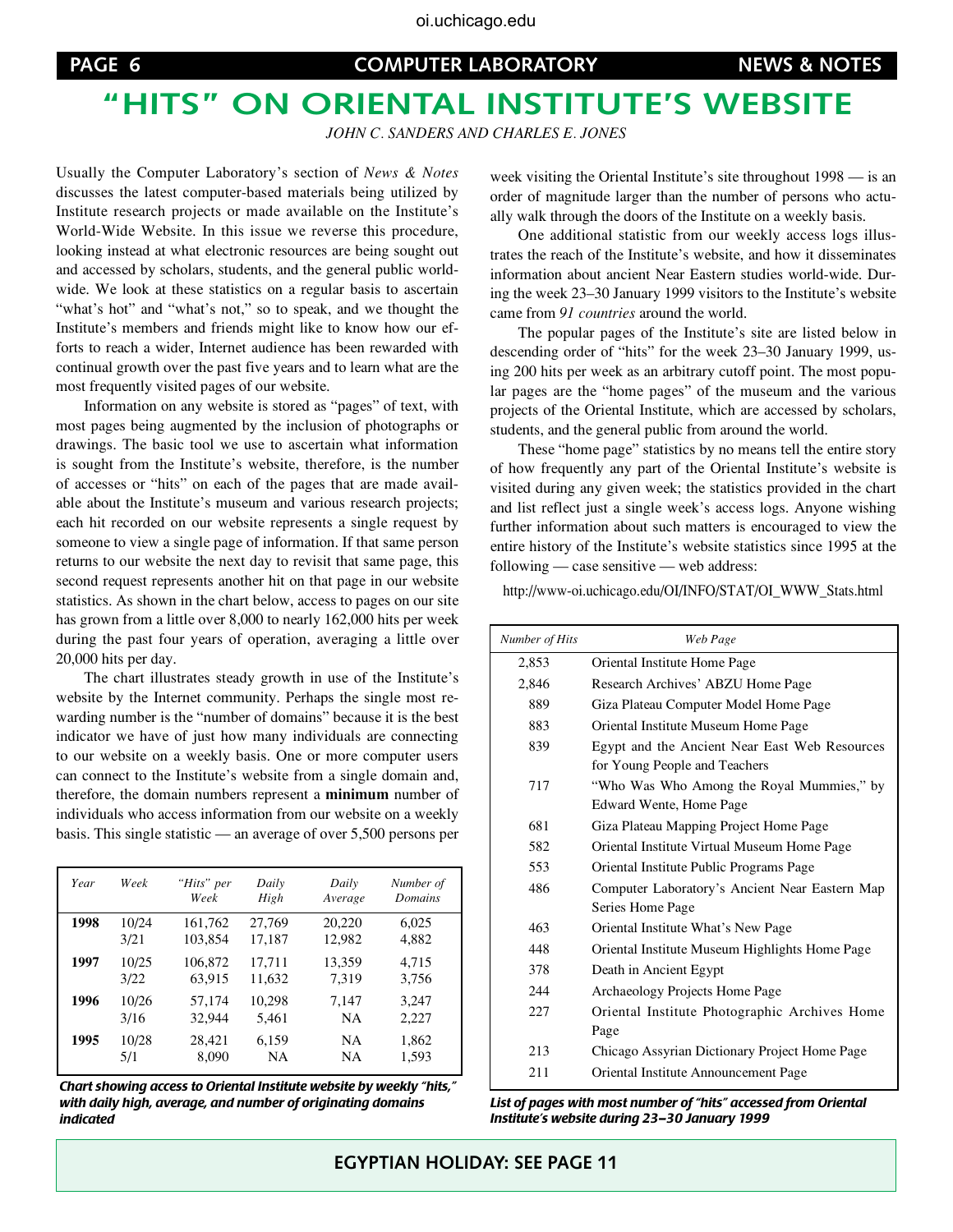## **"Hits" on Oriental Institute's Website**

*John C. Sanders and Charles E. Jones*

Usually the Computer Laboratory's section of *News & Notes* discusses the latest computer-based materials being utilized by Institute research projects or made available on the Institute's World-Wide Website. In this issue we reverse this procedure, looking instead at what electronic resources are being sought out and accessed by scholars, students, and the general public worldwide. We look at these statistics on a regular basis to ascertain "what's hot" and "what's not," so to speak, and we thought the Institute's members and friends might like to know how our efforts to reach a wider, Internet audience has been rewarded with continual growth over the past five years and to learn what are the most frequently visited pages of our website.

Information on any website is stored as "pages" of text, with most pages being augmented by the inclusion of photographs or drawings. The basic tool we use to ascertain what information is sought from the Institute's website, therefore, is the number of accesses or "hits" on each of the pages that are made available about the Institute's museum and various research projects; each hit recorded on our website represents a single request by someone to view a single page of information. If that same person returns to our website the next day to revisit that same page, this second request represents another hit on that page in our website statistics. As shown in the chart below, access to pages on our site has grown from a little over 8,000 to nearly 162,000 hits per week during the past four years of operation, averaging a little over 20,000 hits per day.

The chart illustrates steady growth in use of the Institute's website by the Internet community. Perhaps the single most rewarding number is the "number of domains" because it is the best indicator we have of just how many individuals are connecting to our website on a weekly basis. One or more computer users can connect to the Institute's website from a single domain and, therefore, the domain numbers represent a **minimum** number of individuals who access information from our website on a weekly basis. This single statistic — an average of over 5,500 persons per

| Year | Week  | "Hits" per<br>Week | Daily<br>High | Daily<br>Average | Number of<br>Domains |
|------|-------|--------------------|---------------|------------------|----------------------|
| 1998 | 10/24 | 161,762            | 27,769        | 20,220           | 6,025                |
|      | 3/21  | 103,854            | 17,187        | 12,982           | 4,882                |
| 1997 | 10/25 | 106,872            | 17,711        | 13,359           | 4,715                |
|      | 3/22  | 63,915             | 11,632        | 7,319            | 3,756                |
| 1996 | 10/26 | 57,174             | 10,298        | 7,147            | 3,247                |
|      | 3/16  | 32,944             | 5,461         | <b>NA</b>        | 2,227                |
| 1995 | 10/28 | 28,421             | 6,159         | <b>NA</b>        | 1,862                |
|      | 5/1   | 8,090              | <b>NA</b>     | <b>NA</b>        | 1,593                |

*Chart showing access to Oriental Institute website by weekly "hits," with daily high, average, and number of originating domains indicated*

week visiting the Oriental Institute's site throughout 1998 — is an order of magnitude larger than the number of persons who actually walk through the doors of the Institute on a weekly basis.

One additional statistic from our weekly access logs illustrates the reach of the Institute's website, and how it disseminates information about ancient Near Eastern studies world-wide. During the week 23–30 January 1999 visitors to the Institute's website came from *91 countries* around the world.

The popular pages of the Institute's site are listed below in descending order of "hits" for the week 23–30 January 1999, using 200 hits per week as an arbitrary cutoff point. The most popular pages are the "home pages" of the museum and the various projects of the Oriental Institute, which are accessed by scholars, students, and the general public from around the world.

These "home page" statistics by no means tell the entire story of how frequently any part of the Oriental Institute's website is visited during any given week; the statistics provided in the chart and list reflect just a single week's access logs. Anyone wishing further information about such matters is encouraged to view the entire history of the Institute's website statistics since 1995 at the following — case sensitive — web address:

http://www-oi.uchicago.edu/OI/INFO/STAT/OI\_WWW\_Stats.html

| Number of Hits | Web Page                                                                       |
|----------------|--------------------------------------------------------------------------------|
| 2,853          | Oriental Institute Home Page                                                   |
| 2,846          | Research Archives' ABZU Home Page                                              |
| 889            | Giza Plateau Computer Model Home Page                                          |
| 883            | Oriental Institute Museum Home Page                                            |
| 839            | Egypt and the Ancient Near East Web Resources<br>for Young People and Teachers |
| 717            | "Who Was Who Among the Royal Mummies," by<br>Edward Wente, Home Page           |
| 681            | Giza Plateau Mapping Project Home Page                                         |
| 582            | Oriental Institute Virtual Museum Home Page                                    |
| 553            | Oriental Institute Public Programs Page                                        |
| 486            | Computer Laboratory's Ancient Near Eastern Map<br>Series Home Page             |
| 463            | Oriental Institute What's New Page                                             |
| 448            | Oriental Institute Museum Highlights Home Page                                 |
| 378            | Death in Ancient Egypt                                                         |
| 244            | Archaeology Projects Home Page                                                 |
| 227            | Oriental Institute Photographic Archives Home<br>Page                          |
| 213            | Chicago Assyrian Dictionary Project Home Page                                  |
| 211            | Oriental Institute Announcement Page                                           |

*List of pages with most number of "hits" accessed from Oriental Institute's website during 23–30 January 1999*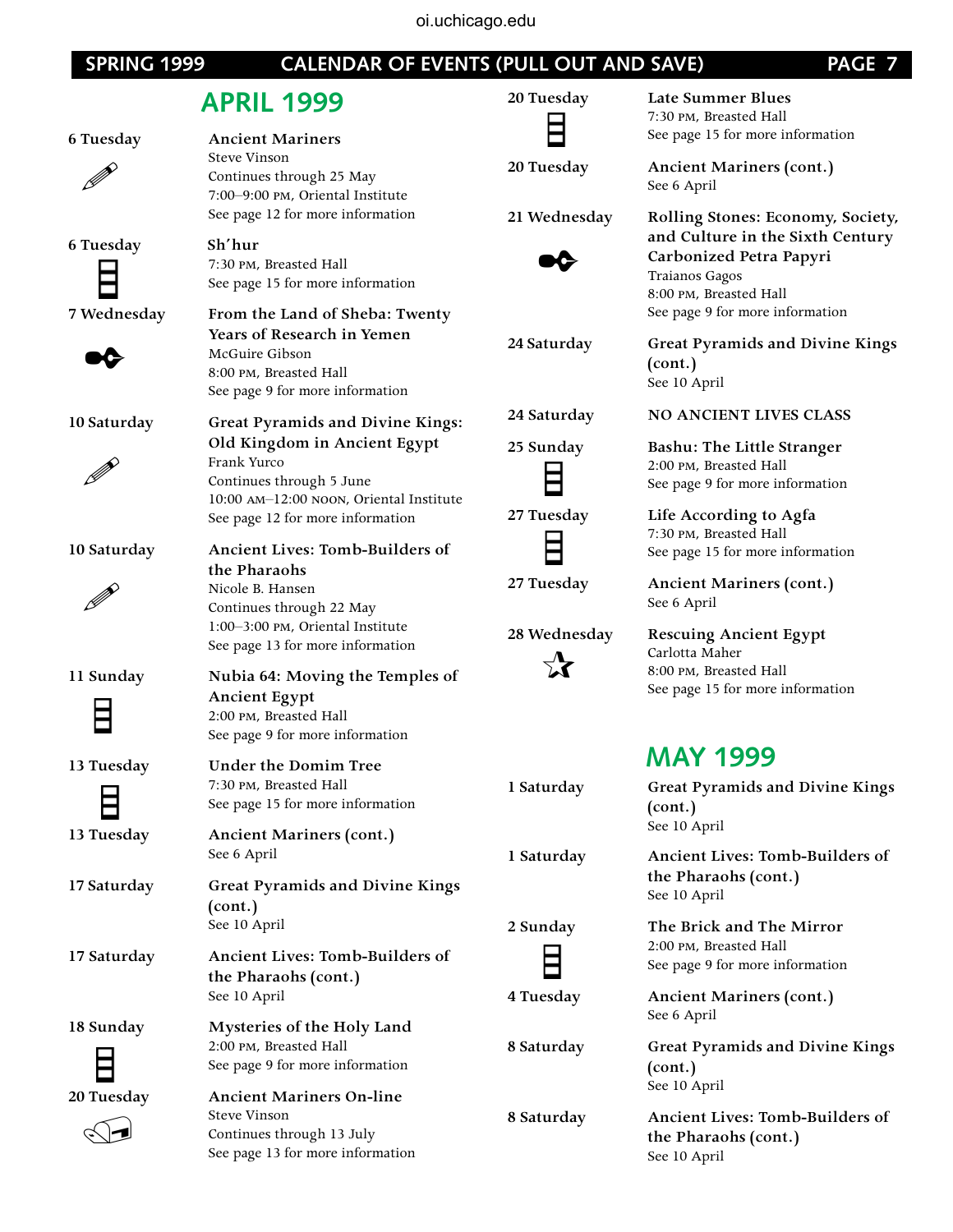#### oi.uchicago.edu**PAGE 7 PAGE 7 CALENDAR OF EVENTS (PULL OUT AND SAVE) PAGE 7 APRIL 1999 20 Tuesday Late Summer Blues 6 Tuesday Ancient Mariners** Steve Vinson P **20 Tuesday Ancient Mariners (cont.)** Continues through 25 May See 6 April 7:00–9:00 pm, Oriental Institute See page 12 for more information **21 Wednesday Rolling Stones: Economy, Society, 6 Tuesday Sh'hur** ✒ 7:30 pm, Breasted Hall See page 15 for more information **7 Wednesday From the Land of Sheba: Twenty Years of Research in Yemen** ✒ McGuire Gibson **(cont.)** 8:00 pm, Breasted Hall See 10 April See page 9 for more information **24 Saturday NO ANCIENT LIVES CLASS 10 Saturday Great Pyramids and Divine Kings: Old Kingdom in Ancient Egypt 25 Sunday Bashu: The Little Stranger** Frank Yurco P Ħ Continues through 5 June 10:00 am–12:00 noon, Oriental Institute **27 Tuesday Life According to Agfa** See page 12 for more information **10 Saturday Ancient Lives: Tomb-Builders of the Pharaohs 27 Tuesday Ancient Mariners (cont.)** Nicole B. Hansen P See 6 April Continues through 22 May 1:00–3:00 pm, Oriental Institute **28 Wednesday Rescuing Ancient Egypt** See page 13 for more information  $\boldsymbol{\chi}$ **11 Sunday Nubia 64: Moving the Temples of Ancient Egypt** 2:00 pm, Breasted Hall See page 9 for more information **13 Tuesday Under the Domim Tree** 7:30 pm, Breasted Hall See page 15 for more information **(cont.)** See 10 April **13 Tuesday Ancient Mariners (cont.)** See 6 April **17 Saturday Great Pyramids and Divine Kings**  See 10 April **(cont.)** See 10 April **2 Sunday The Brick and The Mirror 17 Saturday Ancient Lives: Tomb-Builders of the Pharaohs (cont.) 4 Tuesday Ancient Mariners (cont.)** See 10 April See 6 April **18 Sunday Mysteries of the Holy Land**

 $\bigcirc$ 

**8 Saturday Ancient Lives: Tomb-Builders of the Pharaohs (cont.)** See 10 April

7:30 pm, Breasted Hall See page 15 for more information

**and Culture in the Sixth Century Carbonized Petra Papyri** Traianos Gagos 8:00 pm, Breasted Hall See page 9 for more information

**24 Saturday Great Pyramids and Divine Kings** 

2:00 pm, Breasted Hall See page 9 for more information

7:30 pm, Breasted Hall See page 15 for more information

Carlotta Maher 8:00 pm, Breasted Hall See page 15 for more information

## **MAY 1999**

**1 Saturday Great Pyramids and Divine Kings** 

**1 Saturday Ancient Lives: Tomb-Builders of the Pharaohs (cont.)**

> 2:00 pm, Breasted Hall See page 9 for more information

**8 Saturday Great Pyramids and Divine Kings (cont.)** See 10 April

2:00 pm, Breasted Hall See page 9 for more information

**20 Tuesday Ancient Mariners On-line** Steve Vinson Continues through 13 July See page 13 for more information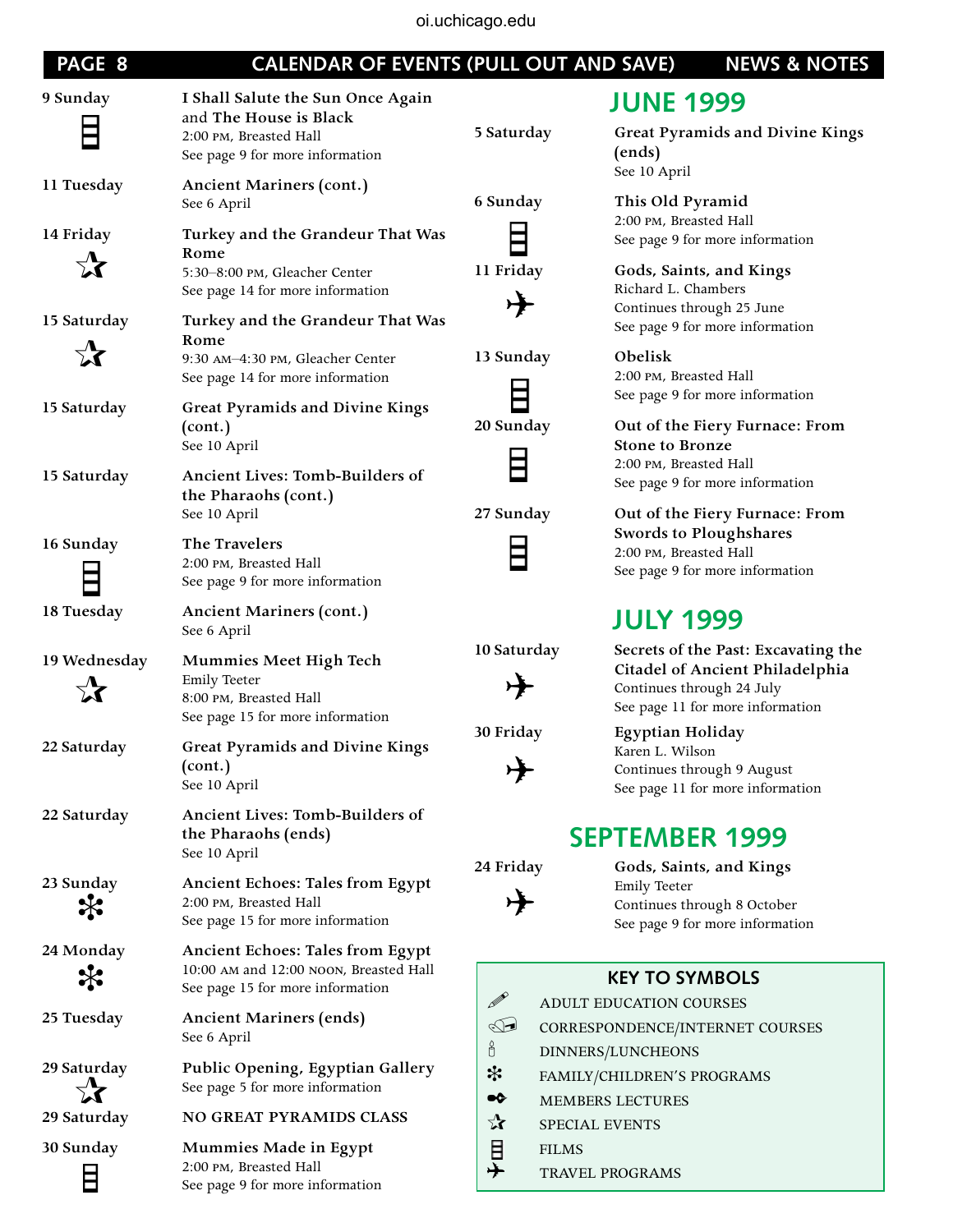oi.uchicago.edu

| PAGE 8         | <b>CALENDAR OF EVENTS (PULL OUT AND SAVE)</b>                                                                            |                         | <b>NEWS &amp; NOTES</b>                                                                                                                 |
|----------------|--------------------------------------------------------------------------------------------------------------------------|-------------------------|-----------------------------------------------------------------------------------------------------------------------------------------|
| 9 Sunday       | I Shall Salute the Sun Once Again<br>and The House is Black<br>2:00 PM, Breasted Hall<br>See page 9 for more information | 5 Saturday              | <b>JUNE 1999</b><br><b>Great Pyramids and Divine Kings</b><br>(ends)<br>See 10 April                                                    |
| 11 Tuesday     | <b>Ancient Mariners (cont.)</b><br>See 6 April                                                                           | 6 Sunday                | This Old Pyramid<br>2:00 PM, Breasted Hall                                                                                              |
| 14 Friday      | Turkey and the Grandeur That Was<br>Rome                                                                                 |                         | See page 9 for more information                                                                                                         |
|                | 5:30-8:00 PM, Gleacher Center<br>See page 14 for more information                                                        | 11 Friday               | Gods, Saints, and Kings<br>Richard L. Chambers<br>Continues through 25 June                                                             |
| 15 Saturday    | Turkey and the Grandeur That Was<br>Rome                                                                                 |                         | See page 9 for more information                                                                                                         |
| $\vec{\chi}$   | 9:30 AM-4:30 PM, Gleacher Center<br>See page 14 for more information                                                     | 13 Sunday               | Obelisk<br>2:00 PM, Breasted Hall                                                                                                       |
| 15 Saturday    | Great Pyramids and Divine Kings<br>(cont.)<br>See 10 April                                                               | 20 Sunday               | See page 9 for more information<br>Out of the Fiery Furnace: From<br><b>Stone to Bronze</b>                                             |
| 15 Saturday    | Ancient Lives: Tomb-Builders of<br>the Pharaohs (cont.)                                                                  |                         | 2:00 PM, Breasted Hall<br>See page 9 for more information                                                                               |
|                | See 10 April                                                                                                             | 27 Sunday               | Out of the Fiery Furnace: From<br>Swords to Ploughshares                                                                                |
| 16 Sunday      | The Travelers<br>2:00 PM, Breasted Hall<br>See page 9 for more information                                               |                         | 2:00 PM, Breasted Hall<br>See page 9 for more information                                                                               |
| 18 Tuesday     | <b>Ancient Mariners (cont.)</b><br>See 6 April                                                                           |                         | <b>JULY 1999</b>                                                                                                                        |
| 19 Wednesday   | Mummies Meet High Tech<br><b>Emily Teeter</b><br>8:00 PM, Breasted Hall<br>See page 15 for more information              | 10 Saturday             | Secrets of the Past: Excavating the<br>Citadel of Ancient Philadelphia<br>Continues through 24 July<br>See page 11 for more information |
| 22 Saturday    | <b>Great Pyramids and Divine Kings</b><br>(cont.)<br>See 10 April                                                        | 30 Friday               | <b>Egyptian Holiday</b><br>Karen L. Wilson<br>Continues through 9 August<br>See page 11 for more information                            |
| 22 Saturday    | Ancient Lives: Tomb-Builders of<br>the Pharaohs (ends)<br>See 10 April                                                   |                         | <b>SEPTEMBER 1999</b>                                                                                                                   |
| 23 Sunday      | <b>Ancient Echoes: Tales from Egypt</b><br>2:00 PM, Breasted Hall<br>See page 15 for more information                    | 24 Friday               | Gods, Saints, and Kings<br><b>Emily Teeter</b><br>Continues through 8 October<br>See page 9 for more information                        |
| 24 Monday<br>҉ | <b>Ancient Echoes: Tales from Egypt</b><br>10:00 AM and 12:00 NOON, Breasted Hall                                        |                         | <b>KEY TO SYMBOLS</b>                                                                                                                   |
|                | See page 15 for more information                                                                                         | $\mathscr{D}$           | ADULT EDUCATION COURSES                                                                                                                 |
| 25 Tuesday     | <b>Ancient Mariners (ends)</b><br>See 6 April                                                                            | $\mathbb{C}$<br>ó       | CORRESPONDENCE/INTERNET COURSES<br>DINNERS/LUNCHEONS                                                                                    |
| 29 Saturday    | Public Opening, Egyptian Gallery<br>See page 5 for more information                                                      | *<br>$\bullet \diamond$ | FAMILY/CHILDREN'S PROGRAMS                                                                                                              |
| 29 Saturday    | NO GREAT PYRAMIDS CLASS                                                                                                  | ☆                       | MEMBERS LECTURES<br>SPECIAL EVENTS                                                                                                      |
| 30 Sunday<br>E | <b>Mummies Made in Egypt</b><br>2:00 PM, Breasted Hall<br>See page 9 for more information                                | 目<br>ナ<br><b>FILMS</b>  | TRAVEL PROGRAMS                                                                                                                         |

## **JULY 1999**

## **SEPTEMBER 1999**

## **RBOLS**

- ERNET COURSES
- OGRAMS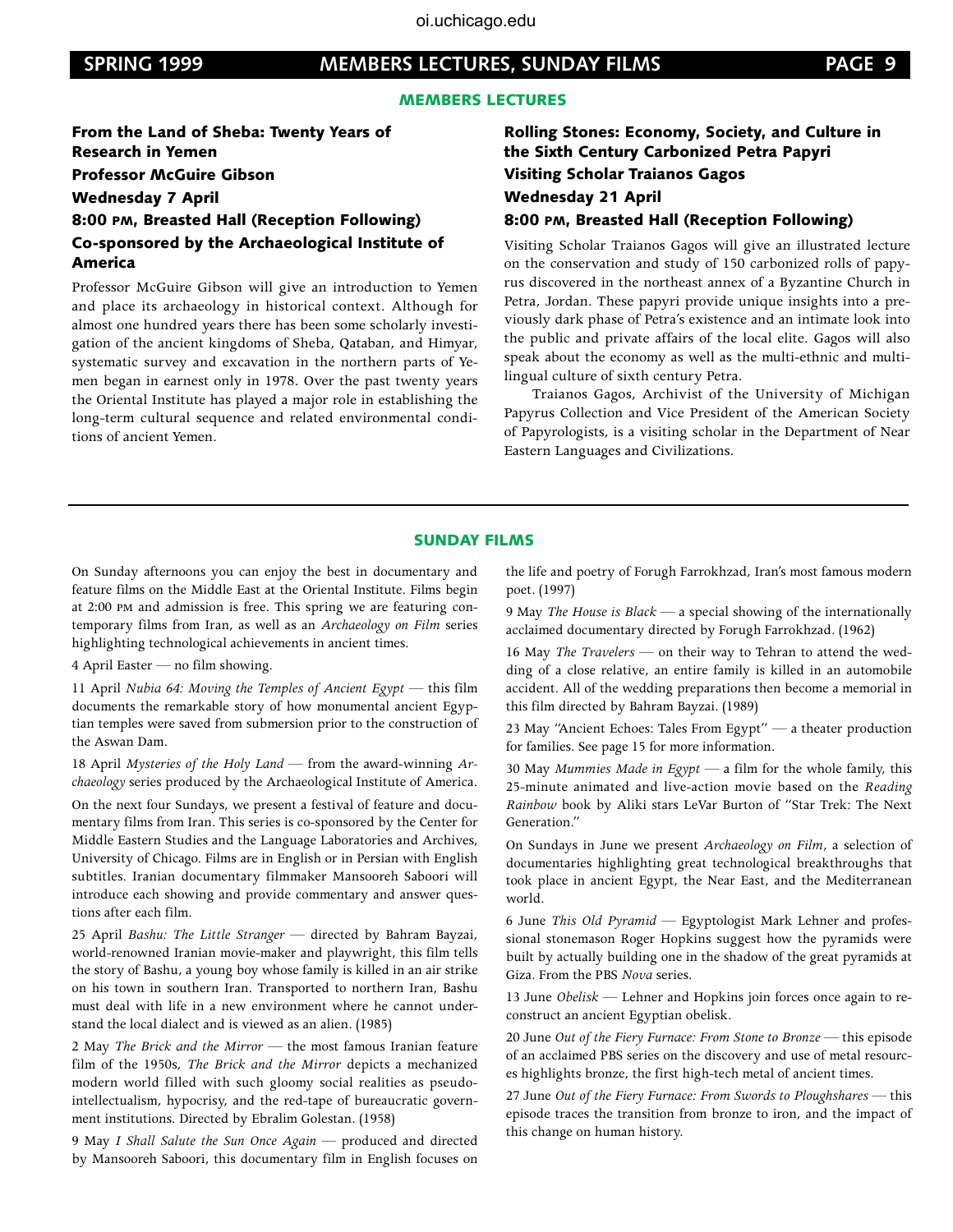#### **SPRING 1999 SPRING 1999 Members Lectures, Sunday Films PAGE 9 PAGE 9**

#### MEMBERS LECTURES

From the Land of Sheba: Twenty Years of Research in Yemen Professor McGuire Gibson Wednesday 7 April

#### 8:00 pm, Breasted Hall (Reception Following) Co-sponsored by the Archaeological Institute of America

Professor McGuire Gibson will give an introduction to Yemen and place its archaeology in historical context. Although for almost one hundred years there has been some scholarly investigation of the ancient kingdoms of Sheba, Qataban, and Himyar, systematic survey and excavation in the northern parts of Yemen began in earnest only in 1978. Over the past twenty years the Oriental Institute has played a major role in establishing the long-term cultural sequence and related environmental conditions of ancient Yemen.

#### Rolling Stones: Economy, Society, and Culture in the Sixth Century Carbonized Petra Papyri Visiting Scholar Traianos Gagos Wednesday 21 April 8:00 pm, Breasted Hall (Reception Following)

Visiting Scholar Traianos Gagos will give an illustrated lecture on the conservation and study of 150 carbonized rolls of papyrus discovered in the northeast annex of a Byzantine Church in Petra, Jordan. These papyri provide unique insights into a previously dark phase of Petra's existence and an intimate look into the public and private affairs of the local elite. Gagos will also speak about the economy as well as the multi-ethnic and multilingual culture of sixth century Petra.

Traianos Gagos, Archivist of the University of Michigan Papyrus Collection and Vice President of the American Society of Papyrologists, is a visiting scholar in the Department of Near Eastern Languages and Civilizations.

#### SUNDAY FILMS

On Sunday afternoons you can enjoy the best in documentary and feature films on the Middle East at the Oriental Institute. Films begin at 2:00 pm and admission is free. This spring we are featuring contemporary films from Iran, as well as an *Archaeology on Film* series highlighting technological achievements in ancient times.

4 April Easter — no film showing.

11 April *Nubia 64: Moving the Temples of Ancient Egypt* — this film documents the remarkable story of how monumental ancient Egyptian temples were saved from submersion prior to the construction of the Aswan Dam.

18 April *Mysteries of the Holy Land —* from the award-winning *Archaeology* series produced by the Archaeological Institute of America.

On the next four Sundays, we present a festival of feature and documentary films from Iran. This series is co-sponsored by the Center for Middle Eastern Studies and the Language Laboratories and Archives, University of Chicago. Films are in English or in Persian with English subtitles. Iranian documentary filmmaker Mansooreh Saboori will introduce each showing and provide commentary and answer questions after each film.

25 April *Bashu: The Little Stranger* — directed by Bahram Bayzai, world-renowned Iranian movie-maker and playwright, this film tells the story of Bashu, a young boy whose family is killed in an air strike on his town in southern Iran. Transported to northern Iran, Bashu must deal with life in a new environment where he cannot understand the local dialect and is viewed as an alien. (1985)

2 May *The Brick and the Mirror* — the most famous Iranian feature film of the 1950s, *The Brick and the Mirror* depicts a mechanized modern world filled with such gloomy social realities as pseudointellectualism, hypocrisy, and the red-tape of bureaucratic government institutions. Directed by Ebralim Golestan. (1958)

9 May *I Shall Salute the Sun Once Again* — produced and directed by Mansooreh Saboori, this documentary film in English focuses on the life and poetry of Forugh Farrokhzad, Iran's most famous modern poet. (1997)

9 May *The House is Black* — a special showing of the internationally acclaimed documentary directed by Forugh Farrokhzad. (1962)

16 May *The Travelers* — on their way to Tehran to attend the wedding of a close relative, an entire family is killed in an automobile accident. All of the wedding preparations then become a memorial in this film directed by Bahram Bayzai. (1989)

23 May "Ancient Echoes: Tales From Egypt" — a theater production for families. See page 15 for more information.

30 May *Mummies Made in Egypt —* a film for the whole family, this 25-minute animated and live-action movie based on the *Reading Rainbow* book by Aliki stars LeVar Burton of "Star Trek: The Next Generation."

On Sundays in June we present *Archaeology on Film*, a selection of documentaries highlighting great technological breakthroughs that took place in ancient Egypt, the Near East, and the Mediterranean world.

6 June *This Old Pyramid —* Egyptologist Mark Lehner and professional stonemason Roger Hopkins suggest how the pyramids were built by actually building one in the shadow of the great pyramids at Giza. From the PBS *Nova* series.

13 June *Obelisk* — Lehner and Hopkins join forces once again to reconstruct an ancient Egyptian obelisk.

20 June *Out of the Fiery Furnace: From Stone to Bronze* — this episode of an acclaimed PBS series on the discovery and use of metal resources highlights bronze, the first high-tech metal of ancient times.

27 June *Out of the Fiery Furnace: From Swords to Ploughshares* — this episode traces the transition from bronze to iron, and the impact of this change on human history.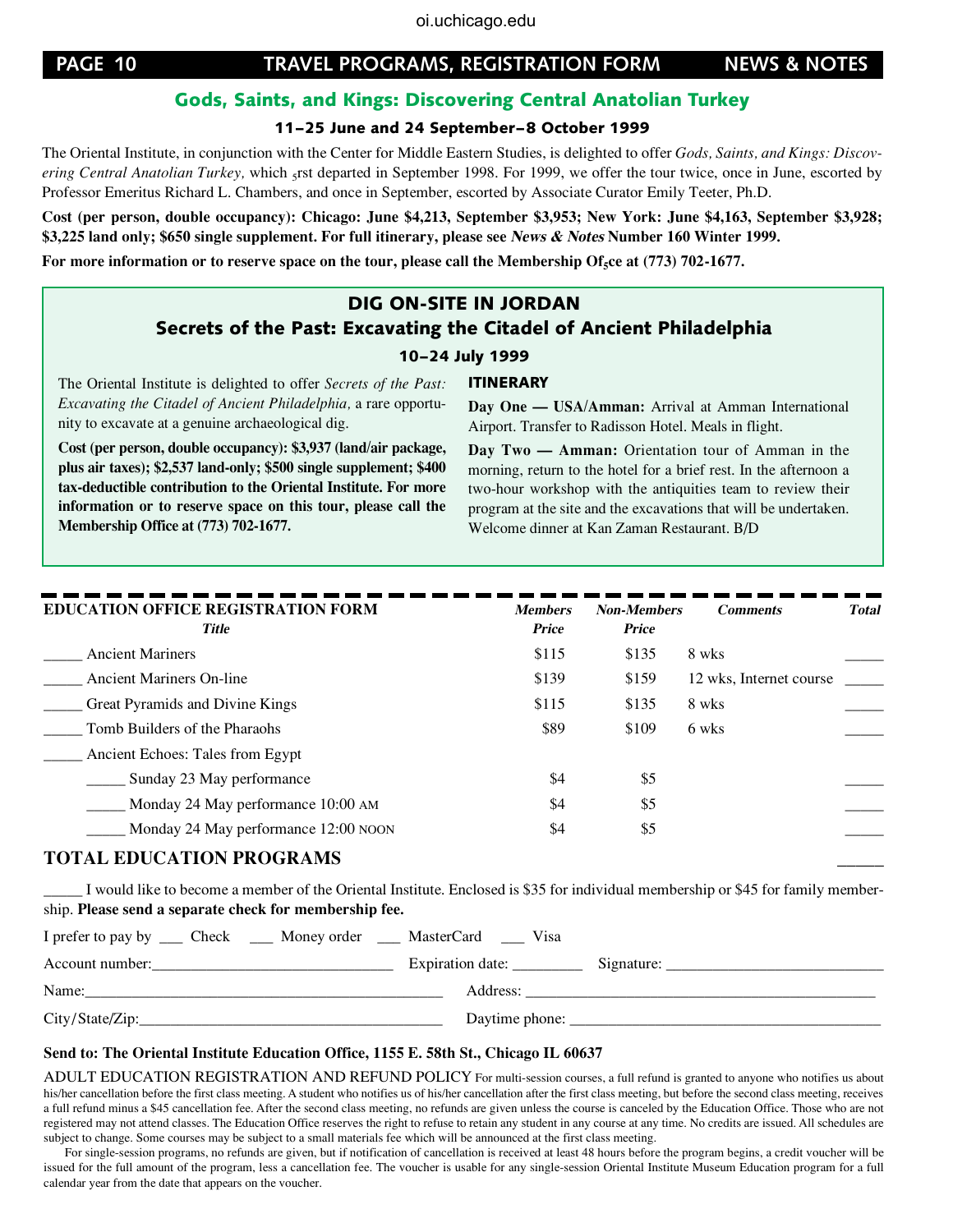#### Gods, Saints, and Kings: Discovering Central Anatolian Turkey

#### 11–25 June and 24 September–8 October 1999

The Oriental Institute, in conjunction with the Center for Middle Eastern Studies, is delighted to offer *Gods, Saints, and Kings: Discovering Central Anatolian Turkey*, which <sub>5</sub>rst departed in September 1998. For 1999, we offer the tour twice, once in June, escorted by Professor Emeritus Richard L. Chambers, and once in September, escorted by Associate Curator Emily Teeter, Ph.D.

**Cost (per person, double occupancy): Chicago: June \$4,213, September \$3,953; New York: June \$4,163, September \$3,928; \$3,225 land only; \$650 single supplement. For full itinerary, please see** *News & Notes* **Number 160 Winter 1999.** 

For more information or to reserve space on the tour, please call the Membership Of<sub>5</sub>ce at (773) 702-1677.

#### DIG ON-SITE IN JORDAN

#### Secrets of the Past: Excavating the Citadel of Ancient Philadelphia

#### 10–24 July 1999

ITINERARY

The Oriental Institute is delighted to offer *Secrets of the Past: Excavating the Citadel of Ancient Philadelphia,* a rare opportunity to excavate at a genuine archaeological dig.

**Cost (per person, double occupancy): \$3,937 (land/air package, plus air taxes); \$2,537 land-only; \$500 single supplement; \$400 tax-deductible contribution to the Oriental Institute. For more information or to reserve space on this tour, please call the Membership Office at (773) 702-1677.**

**Day One — USA/Amman:** Arrival at Amman International Airport. Transfer to Radisson Hotel. Meals in flight.

**Day Two — Amman:** Orientation tour of Amman in the morning, return to the hotel for a brief rest. In the afternoon a two-hour workshop with the antiquities team to review their program at the site and the excavations that will be undertaken. Welcome dinner at Kan Zaman Restaurant. B/D

| <b>Members</b> |              | <b>Comments</b>         | <b>Total</b>                |
|----------------|--------------|-------------------------|-----------------------------|
| <b>Price</b>   | <b>Price</b> |                         |                             |
| \$115          | \$135        | 8 wks                   |                             |
| \$139          | \$159        | 12 wks, Internet course |                             |
| \$115          | \$135        | 8 wks                   |                             |
| \$89           | \$109        |                         |                             |
|                |              |                         |                             |
| \$4            | \$5          |                         |                             |
| \$4            | \$5          |                         |                             |
| \$4            | \$5          |                         |                             |
|                |              |                         | <b>Non-Members</b><br>6 wks |

#### **TOTAL EDUCATION PROGRAMS \_\_\_\_\_**

I would like to become a member of the Oriental Institute. Enclosed is \$35 for individual membership or \$45 for family membership. **Please send a separate check for membership fee.**

| I prefer to pay by _____ Check ______ Money order _____ MasterCard | Visa                                |
|--------------------------------------------------------------------|-------------------------------------|
| Account number:                                                    | Expiration date: ____<br>Signature: |
| Name:                                                              | Address:                            |
| City/State/Zip:                                                    | Daytime phone:                      |

#### **Send to: The Oriental Institute Education Office, 1155 E. 58th St., Chicago IL 60637**

ADULT EDUCATION REGISTRATION AND REFUND POLICY For multi-session courses, a full refund is granted to anyone who notifies us about his/her cancellation before the first class meeting. A student who notifies us of his/her cancellation after the first class meeting, but before the second class meeting, receives a full refund minus a \$45 cancellation fee. After the second class meeting, no refunds are given unless the course is canceled by the Education Office. Those who are not registered may not attend classes. The Education Office reserves the right to refuse to retain any student in any course at any time. No credits are issued. All schedules are subject to change. Some courses may be subject to a small materials fee which will be announced at the first class meeting.

For single-session programs, no refunds are given, but if notification of cancellation is received at least 48 hours before the program begins, a credit voucher will be issued for the full amount of the program, less a cancellation fee. The voucher is usable for any single-session Oriental Institute Museum Education program for a full calendar year from the date that appears on the voucher.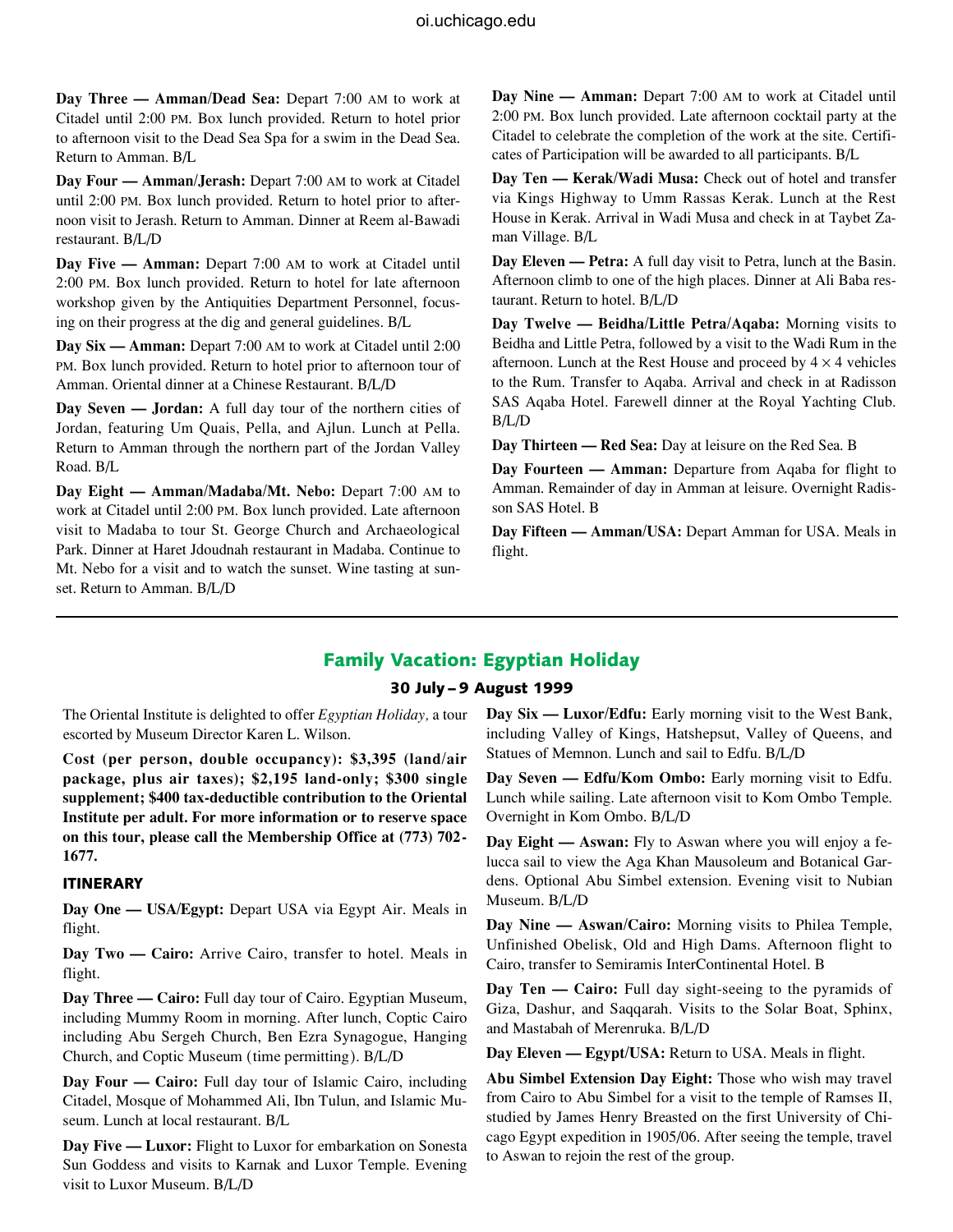**Day Three — Amman/Dead Sea:** Depart 7:00 am to work at Citadel until 2:00 pm. Box lunch provided. Return to hotel prior to afternoon visit to the Dead Sea Spa for a swim in the Dead Sea. Return to Amman. B/L

**Day Four — Amman/Jerash:** Depart 7:00 am to work at Citadel until 2:00 pm. Box lunch provided. Return to hotel prior to afternoon visit to Jerash. Return to Amman. Dinner at Reem al-Bawadi restaurant. B/L/D

**Day Five — Amman:** Depart 7:00 am to work at Citadel until 2:00 pm. Box lunch provided. Return to hotel for late afternoon workshop given by the Antiquities Department Personnel, focusing on their progress at the dig and general guidelines. B/L

**Day Six — Amman:** Depart 7:00 am to work at Citadel until 2:00 pm. Box lunch provided. Return to hotel prior to afternoon tour of Amman. Oriental dinner at a Chinese Restaurant. B/L/D

**Day Seven — Jordan:** A full day tour of the northern cities of Jordan, featuring Um Quais, Pella, and Ajlun. Lunch at Pella. Return to Amman through the northern part of the Jordan Valley Road. B/L

**Day Eight — Amman/Madaba/Mt. Nebo:** Depart 7:00 am to work at Citadel until 2:00 pm. Box lunch provided. Late afternoon visit to Madaba to tour St. George Church and Archaeological Park. Dinner at Haret Jdoudnah restaurant in Madaba. Continue to Mt. Nebo for a visit and to watch the sunset. Wine tasting at sunset. Return to Amman. B/L/D

**Day Nine — Amman:** Depart 7:00 am to work at Citadel until 2:00 pm. Box lunch provided. Late afternoon cocktail party at the Citadel to celebrate the completion of the work at the site. Certificates of Participation will be awarded to all participants. B/L

**Day Ten — Kerak/Wadi Musa:** Check out of hotel and transfer via Kings Highway to Umm Rassas Kerak. Lunch at the Rest House in Kerak. Arrival in Wadi Musa and check in at Taybet Zaman Village. B/L

**Day Eleven — Petra:** A full day visit to Petra, lunch at the Basin. Afternoon climb to one of the high places. Dinner at Ali Baba restaurant. Return to hotel. B/L/D

**Day Twelve — Beidha/Little Petra/Aqaba:** Morning visits to Beidha and Little Petra, followed by a visit to the Wadi Rum in the afternoon. Lunch at the Rest House and proceed by  $4 \times 4$  vehicles to the Rum. Transfer to Aqaba. Arrival and check in at Radisson SAS Aqaba Hotel. Farewell dinner at the Royal Yachting Club. B/L/D

**Day Thirteen — Red Sea:** Day at leisure on the Red Sea. B

**Day Fourteen — Amman:** Departure from Aqaba for flight to Amman. Remainder of day in Amman at leisure. Overnight Radisson SAS Hotel. B

**Day Fifteen — Amman/USA:** Depart Amman for USA. Meals in flight.

#### Family Vacation: Egyptian Holiday

#### 30 July – 9 August 1999

The Oriental Institute is delighted to offer *Egyptian Holiday,* a tour escorted by Museum Director Karen L. Wilson.

**Cost (per person, double occupancy): \$3,395 (land/air package, plus air taxes); \$2,195 land-only; \$300 single supplement; \$400 tax-deductible contribution to the Oriental Institute per adult. For more information or to reserve space on this tour, please call the Membership Office at (773) 702- 1677.**

#### ITINERARY

**Day One — USA/Egypt:** Depart USA via Egypt Air. Meals in flight.

**Day Two — Cairo:** Arrive Cairo, transfer to hotel. Meals in flight.

**Day Three — Cairo:** Full day tour of Cairo. Egyptian Museum, including Mummy Room in morning. After lunch, Coptic Cairo including Abu Sergeh Church, Ben Ezra Synagogue, Hanging Church, and Coptic Museum (time permitting). B/L/D

**Day Four — Cairo:** Full day tour of Islamic Cairo, including Citadel, Mosque of Mohammed Ali, Ibn Tulun, and Islamic Museum. Lunch at local restaurant. B/L

**Day Five — Luxor:** Flight to Luxor for embarkation on Sonesta Sun Goddess and visits to Karnak and Luxor Temple. Evening visit to Luxor Museum. B/L/D

**Day Six — Luxor/Edfu:** Early morning visit to the West Bank, including Valley of Kings, Hatshepsut, Valley of Queens, and Statues of Memnon. Lunch and sail to Edfu. B/L/D

**Day Seven — Edfu/Kom Ombo:** Early morning visit to Edfu. Lunch while sailing. Late afternoon visit to Kom Ombo Temple. Overnight in Kom Ombo. B/L/D

**Day Eight — Aswan:** Fly to Aswan where you will enjoy a felucca sail to view the Aga Khan Mausoleum and Botanical Gardens. Optional Abu Simbel extension. Evening visit to Nubian Museum. B/L/D

**Day Nine — Aswan/Cairo:** Morning visits to Philea Temple, Unfinished Obelisk, Old and High Dams. Afternoon flight to Cairo, transfer to Semiramis InterContinental Hotel. B

**Day Ten — Cairo:** Full day sight-seeing to the pyramids of Giza, Dashur, and Saqqarah. Visits to the Solar Boat, Sphinx, and Mastabah of Merenruka. B/L/D

**Day Eleven — Egypt/USA:** Return to USA. Meals in flight.

**Abu Simbel Extension Day Eight:** Those who wish may travel from Cairo to Abu Simbel for a visit to the temple of Ramses II, studied by James Henry Breasted on the first University of Chicago Egypt expedition in 1905/06. After seeing the temple, travel to Aswan to rejoin the rest of the group.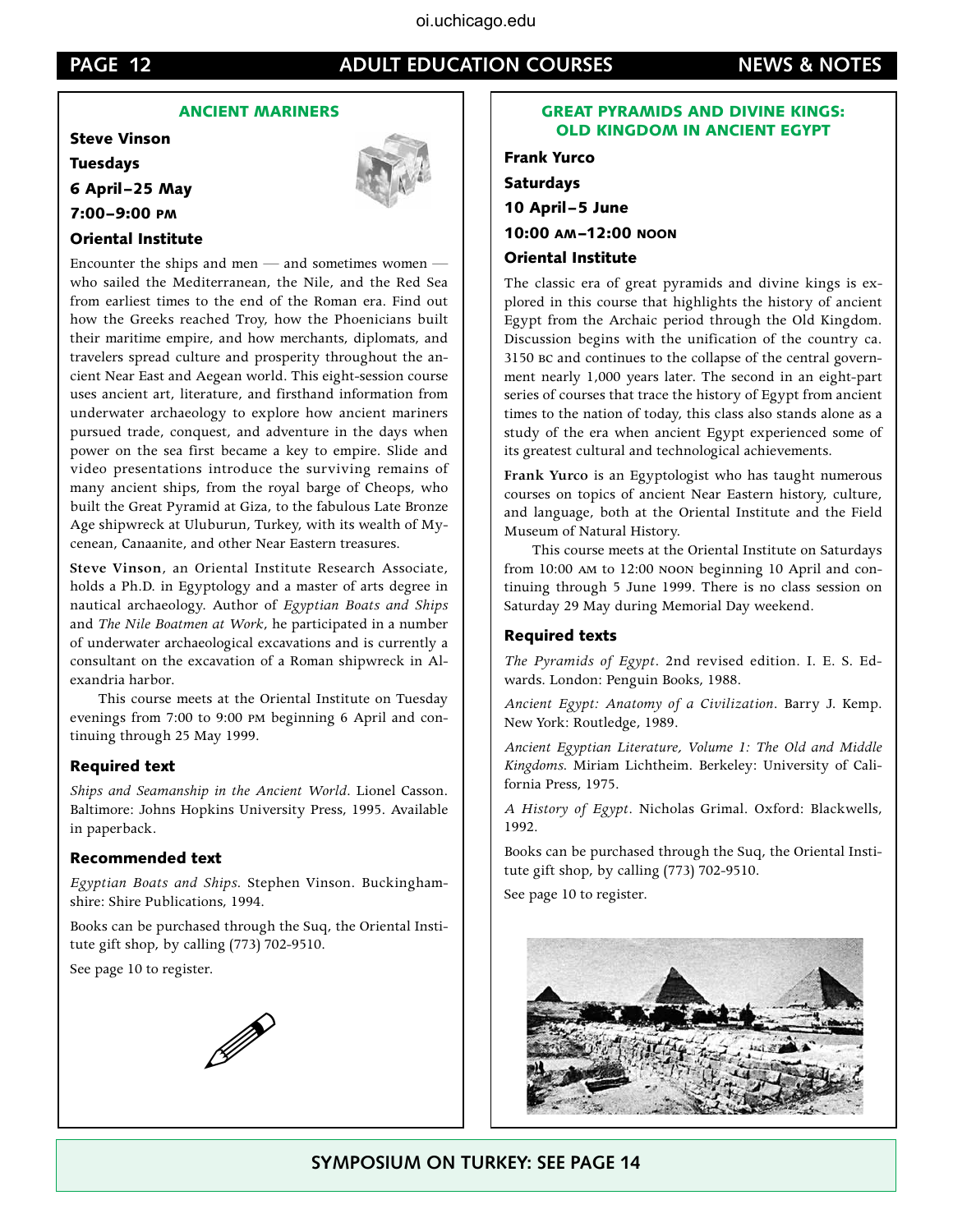#### **PAGE 12 ADULT EDUCATION COURSES NEWS & NOTES**

#### ANCIENT MARINERS

Steve Vinson Tuesdays 6 April–25 May 7:00–9:00 pm



#### Oriental Institute

Encounter the ships and men — and sometimes women who sailed the Mediterranean, the Nile, and the Red Sea from earliest times to the end of the Roman era. Find out how the Greeks reached Troy, how the Phoenicians built their maritime empire, and how merchants, diplomats, and travelers spread culture and prosperity throughout the ancient Near East and Aegean world. This eight-session course uses ancient art, literature, and firsthand information from underwater archaeology to explore how ancient mariners pursued trade, conquest, and adventure in the days when power on the sea first became a key to empire. Slide and video presentations introduce the surviving remains of many ancient ships, from the royal barge of Cheops, who built the Great Pyramid at Giza, to the fabulous Late Bronze Age shipwreck at Uluburun, Turkey, with its wealth of Mycenean, Canaanite, and other Near Eastern treasures.

**Steve Vinson**, an Oriental Institute Research Associate, holds a Ph.D. in Egyptology and a master of arts degree in nautical archaeology. Author of *Egyptian Boats and Ships* and *The Nile Boatmen at Work*, he participated in a number of underwater archaeological excavations and is currently a consultant on the excavation of a Roman shipwreck in Alexandria harbor.

This course meets at the Oriental Institute on Tuesday evenings from 7:00 to 9:00 pm beginning 6 April and continuing through 25 May 1999.

#### Required text

*Ships and Seamanship in the Ancient World.* Lionel Casson. Baltimore: Johns Hopkins University Press, 1995. Available in paperback.

#### Recommended text

*Egyptian Boats and Ships.* Stephen Vinson. Buckinghamshire: Shire Publications, 1994.

Books can be purchased through the Suq, the Oriental Institute gift shop, by calling (773) 702-9510.

See page 10 to register.



#### GREAT PYRAMIDS AND DIVINE KINGS: OLD KINGDOM IN ANCIENT EGYPT

Frank Yurco Saturdays 10 April–5 June 10:00 am–12:00 noon Oriental Institute

The classic era of great pyramids and divine kings is explored in this course that highlights the history of ancient Egypt from the Archaic period through the Old Kingdom. Discussion begins with the unification of the country ca. 3150 bc and continues to the collapse of the central government nearly 1,000 years later. The second in an eight-part series of courses that trace the history of Egypt from ancient times to the nation of today, this class also stands alone as a study of the era when ancient Egypt experienced some of its greatest cultural and technological achievements.

**Frank Yurco** is an Egyptologist who has taught numerous courses on topics of ancient Near Eastern history, culture, and language, both at the Oriental Institute and the Field Museum of Natural History.

This course meets at the Oriental Institute on Saturdays from 10:00 am to 12:00 noon beginning 10 April and continuing through 5 June 1999. There is no class session on Saturday 29 May during Memorial Day weekend.

#### Required texts

*The Pyramids of Egypt.* 2nd revised edition. I. E. S. Edwards. London: Penguin Books, 1988.

*Ancient Egypt: Anatomy of a Civilization.* Barry J. Kemp. New York: Routledge, 1989.

*Ancient Egyptian Literature, Volume 1: The Old and Middle Kingdoms.* Miriam Lichtheim. Berkeley: University of California Press, 1975.

*A History of Egypt.* Nicholas Grimal. Oxford: Blackwells, 1992.

Books can be purchased through the Suq, the Oriental Institute gift shop, by calling (773) 702-9510.

See page 10 to register.



**SYMPOSIUM on Turkey: SEE PAGE 14**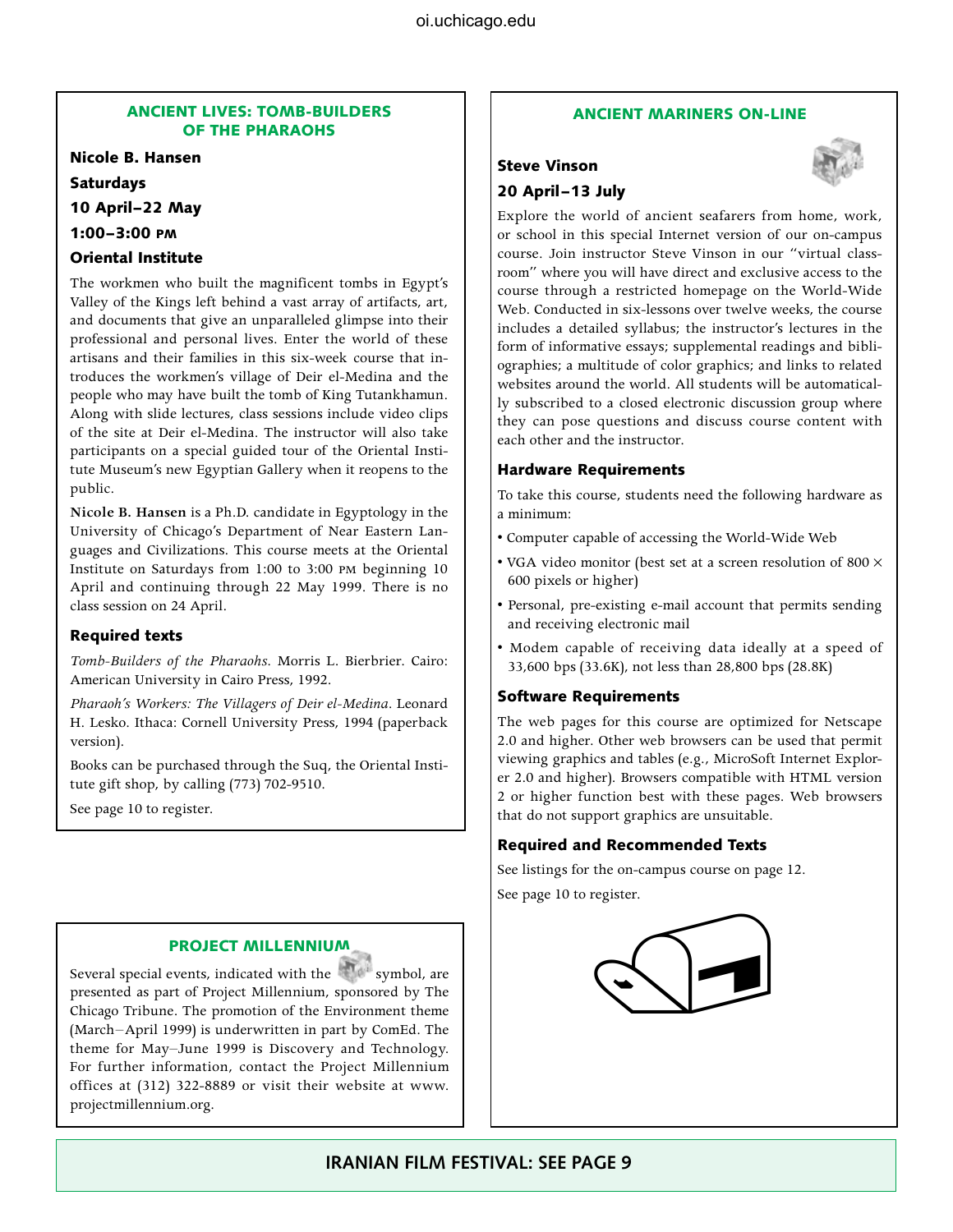#### ANCIENT LIVES: TOMB-BUILDERS OF THE PHARAOHS

Nicole B. Hansen

Saturdays

10 April–22 May

1:00–3:00 pm

#### Oriental Institute

The workmen who built the magnificent tombs in Egypt's Valley of the Kings left behind a vast array of artifacts, art, and documents that give an unparalleled glimpse into their professional and personal lives. Enter the world of these artisans and their families in this six-week course that introduces the workmen's village of Deir el-Medina and the people who may have built the tomb of King Tutankhamun. Along with slide lectures, class sessions include video clips of the site at Deir el-Medina. The instructor will also take participants on a special guided tour of the Oriental Institute Museum's new Egyptian Gallery when it reopens to the public.

**Nicole B. Hansen** is a Ph.D. candidate in Egyptology in the University of Chicago's Department of Near Eastern Languages and Civilizations. This course meets at the Oriental Institute on Saturdays from 1:00 to 3:00 pm beginning 10 April and continuing through 22 May 1999. There is no class session on 24 April.

#### Required texts

*Tomb-Builders of the Pharaohs.* Morris L. Bierbrier. Cairo: American University in Cairo Press, 1992.

*Pharaoh's Workers: The Villagers of Deir el-Medina.* Leonard H. Lesko. Ithaca: Cornell University Press, 1994 (paperback version).

Books can be purchased through the Suq, the Oriental Institute gift shop, by calling (773) 702-9510.

See page 10 to register.

#### Project Millennium

Several special events, indicated with the symbol, are presented as part of Project Millennium, sponsored by The Chicago Tribune. The promotion of the Environment theme (March–April 1999) is underwritten in part by ComEd. The theme for May–June 1999 is Discovery and Technology. For further information, contact the Project Millennium offices at (312) 322-8889 or visit their website at www. projectmillennium.org.

#### ANCIENT MARINERS ON-LINE

#### Steve Vinson 20 April–13 July



Explore the world of ancient seafarers from home, work, or school in this special Internet version of our on-campus course. Join instructor Steve Vinson in our "virtual classroom" where you will have direct and exclusive access to the course through a restricted homepage on the World-Wide Web. Conducted in six-lessons over twelve weeks, the course includes a detailed syllabus; the instructor's lectures in the form of informative essays; supplemental readings and bibliographies; a multitude of color graphics; and links to related websites around the world. All students will be automatically subscribed to a closed electronic discussion group where they can pose questions and discuss course content with each other and the instructor.

#### Hardware Requirements

To take this course, students need the following hardware as a minimum:

- Computer capable of accessing the World-Wide Web
- VGA video monitor (best set at a screen resolution of 800  $\times$ 600 pixels or higher)
- Personal, pre-existing e-mail account that permits sending and receiving electronic mail
- Modem capable of receiving data ideally at a speed of 33,600 bps (33.6K), not less than 28,800 bps (28.8K)

#### Software Requirements

The web pages for this course are optimized for Netscape 2.0 and higher. Other web browsers can be used that permit viewing graphics and tables (e.g., MicroSoft Internet Explorer 2.0 and higher). Browsers compatible with HTML version 2 or higher function best with these pages. Web browsers that do not support graphics are unsuitable.

#### Required and Recommended Texts

See listings for the on-campus course on page 12. See page 10 to register.

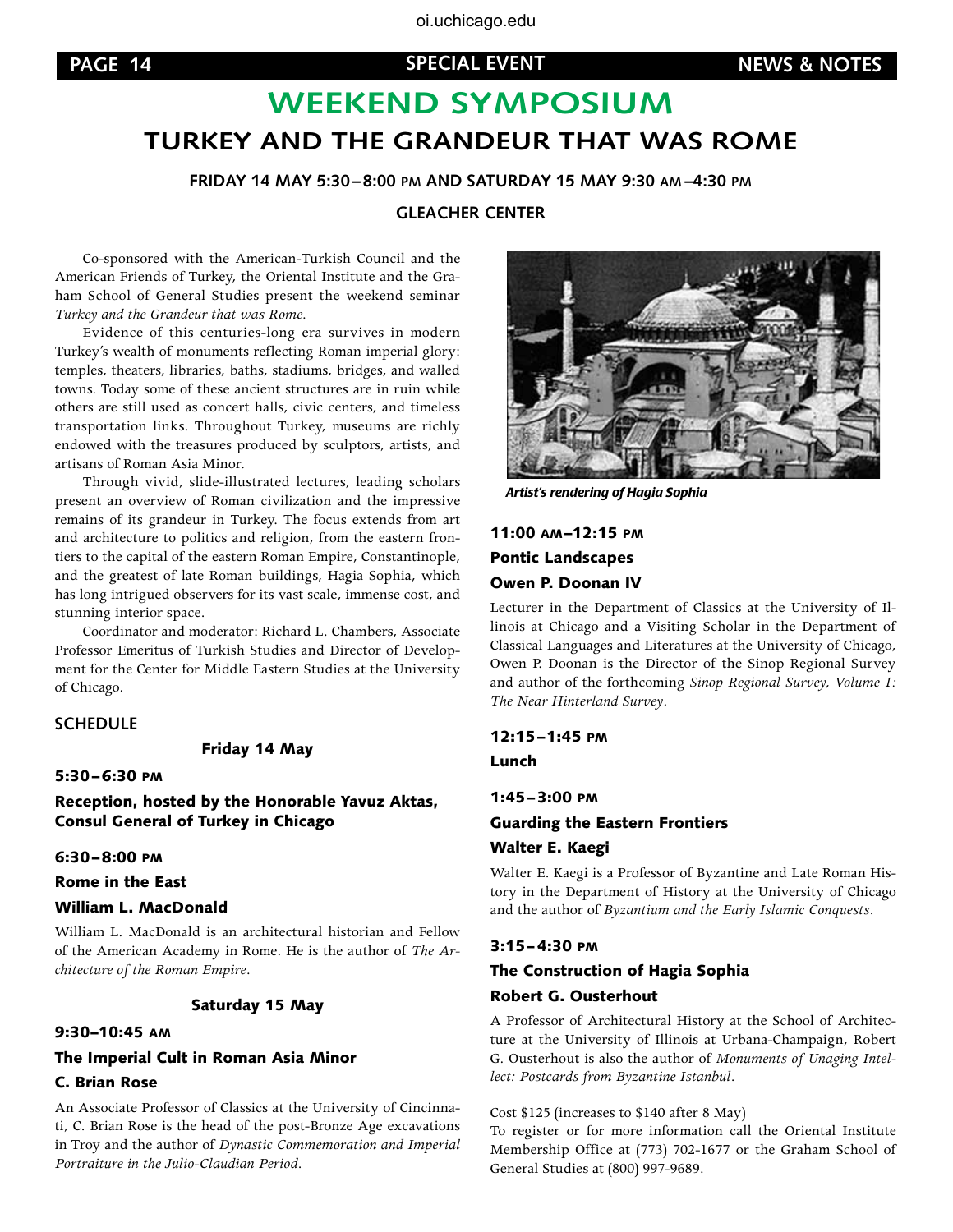## **WEEKEND SYMPOSIUM Turkey and the Grandeur that was Rome**

**Friday 14 May 5:30–8:00 pm and Saturday 15 May 9:30 am –4:30 pm**

**Gleacher Center**

Co-sponsored with the American-Turkish Council and the American Friends of Turkey, the Oriental Institute and the Graham School of General Studies present the weekend seminar *Turkey and the Grandeur that was Rome.*

Evidence of this centuries-long era survives in modern Turkey's wealth of monuments reflecting Roman imperial glory: temples, theaters, libraries, baths, stadiums, bridges, and walled towns. Today some of these ancient structures are in ruin while others are still used as concert halls, civic centers, and timeless transportation links. Throughout Turkey, museums are richly endowed with the treasures produced by sculptors, artists, and artisans of Roman Asia Minor.

Through vivid, slide-illustrated lectures, leading scholars present an overview of Roman civilization and the impressive remains of its grandeur in Turkey. The focus extends from art and architecture to politics and religion, from the eastern frontiers to the capital of the eastern Roman Empire, Constantinople, and the greatest of late Roman buildings, Hagia Sophia, which has long intrigued observers for its vast scale, immense cost, and stunning interior space.

Coordinator and moderator: Richard L. Chambers, Associate Professor Emeritus of Turkish Studies and Director of Development for the Center for Middle Eastern Studies at the University of Chicago.

#### **SCHEDULE**

Friday 14 May

5:30–6:30 pm

Reception, hosted by the Honorable Yavuz Aktas, Consul General of Turkey in Chicago

#### 6:30–8:00 pm

#### Rome in the East

#### William L. MacDonald

William L. MacDonald is an architectural historian and Fellow of the American Academy in Rome. He is the author of *The Architecture of the Roman Empire*.

#### Saturday 15 May

#### 9:30–10:45 am

#### The Imperial Cult in Roman Asia Minor

#### C. Brian Rose

An Associate Professor of Classics at the University of Cincinnati, C. Brian Rose is the head of the post-Bronze Age excavations in Troy and the author of *Dynastic Commemoration and Imperial Portraiture in the Julio-Claudian Period*.



*Artist's rendering of Hagia Sophia*

11:00 am–12:15 pm Pontic Landscapes Owen P. Doonan IV

Lecturer in the Department of Classics at the University of Illinois at Chicago and a Visiting Scholar in the Department of Classical Languages and Literatures at the University of Chicago, Owen P. Doonan is the Director of the Sinop Regional Survey and author of the forthcoming *Sinop Regional Survey, Volume 1: The Near Hinterland Survey*.

#### 12:15–1:45 pm

Lunch

#### 1:45–3:00 pm Guarding the Eastern Frontiers Walter E. Kaegi

Walter E. Kaegi is a Professor of Byzantine and Late Roman History in the Department of History at the University of Chicago and the author of *Byzantium and the Early Islamic Conquests*.

#### 3:15–4:30 pm

#### The Construction of Hagia Sophia Robert G. Ousterhout

A Professor of Architectural History at the School of Architecture at the University of Illinois at Urbana-Champaign, Robert G. Ousterhout is also the author of *Monuments of Unaging Intellect: Postcards from Byzantine Istanbul.*

Cost \$125 (increases to \$140 after 8 May)

To register or for more information call the Oriental Institute Membership Office at (773) 702-1677 or the Graham School of General Studies at (800) 997-9689.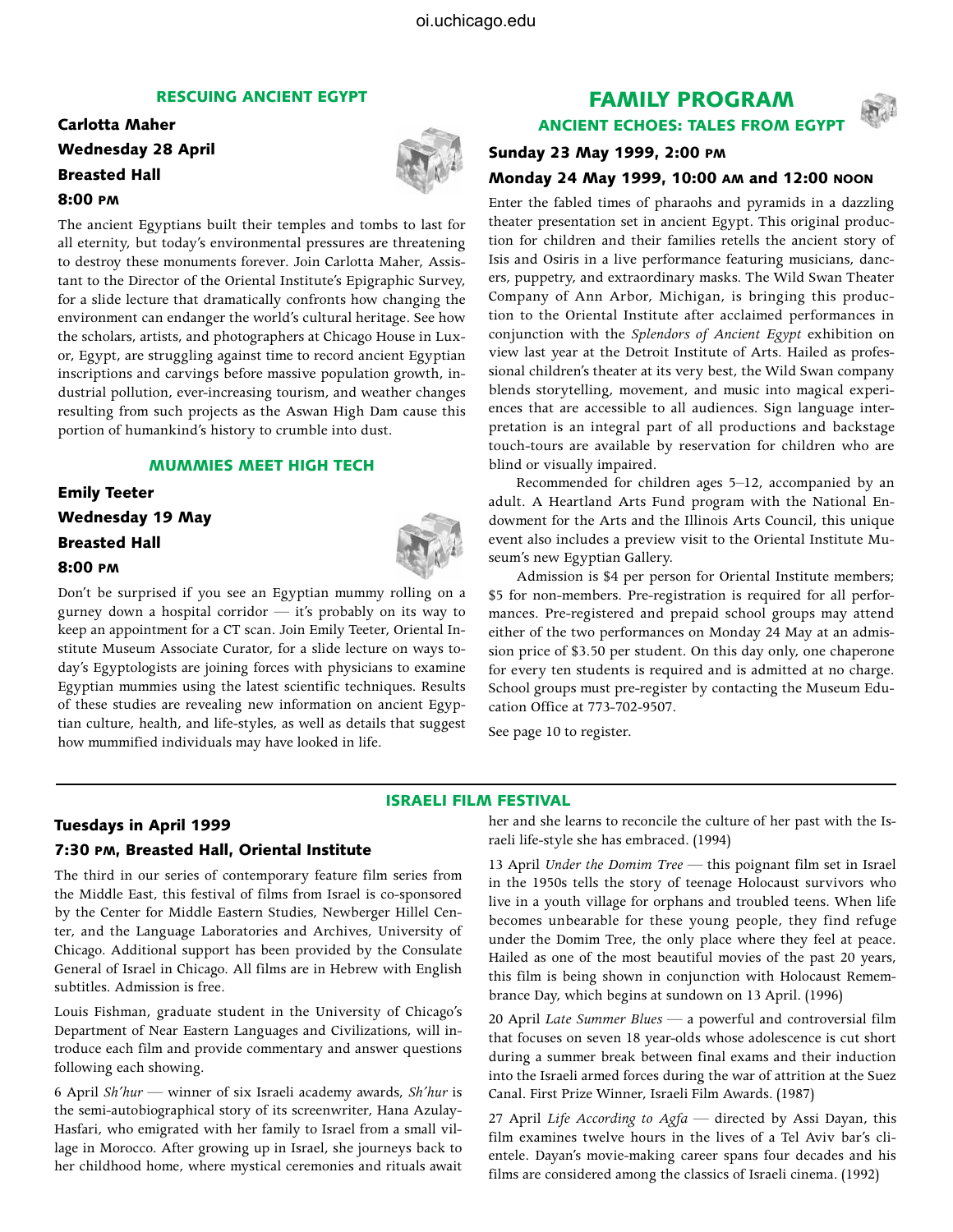#### RESCUING ANCIENT EGYPT

#### Carlotta Maher Wednesday 28 April Breasted Hall 8:00 pm



The ancient Egyptians built their temples and tombs to last for all eternity, but today's environmental pressures are threatening to destroy these monuments forever. Join Carlotta Maher, Assistant to the Director of the Oriental Institute's Epigraphic Survey, for a slide lecture that dramatically confronts how changing the environment can endanger the world's cultural heritage. See how the scholars, artists, and photographers at Chicago House in Luxor, Egypt, are struggling against time to record ancient Egyptian inscriptions and carvings before massive population growth, industrial pollution, ever-increasing tourism, and weather changes resulting from such projects as the Aswan High Dam cause this portion of humankind's history to crumble into dust.

#### MUMMIES MEET HIGH TECH

#### Emily Teeter Wednesday 19 May Breasted Hall 8:00 pm

Don't be surprised if you see an Egyptian mummy rolling on a gurney down a hospital corridor — it's probably on its way to keep an appointment for a CT scan. Join Emily Teeter, Oriental Institute Museum Associate Curator, for a slide lecture on ways today's Egyptologists are joining forces with physicians to examine Egyptian mummies using the latest scientific techniques. Results of these studies are revealing new information on ancient Egyptian culture, health, and life-styles, as well as details that suggest how mummified individuals may have looked in life.

## FAMILY PROGRAM

ANCIENT ECHOES: TALES FROM EGYPT

#### Sunday 23 May 1999, 2:00 pm Monday 24 May 1999, 10:00 am and 12:00 noon

Enter the fabled times of pharaohs and pyramids in a dazzling theater presentation set in ancient Egypt. This original production for children and their families retells the ancient story of Isis and Osiris in a live performance featuring musicians, dancers, puppetry, and extraordinary masks. The Wild Swan Theater Company of Ann Arbor, Michigan, is bringing this production to the Oriental Institute after acclaimed performances in conjunction with the *Splendors of Ancient Egypt* exhibition on view last year at the Detroit Institute of Arts. Hailed as professional children's theater at its very best, the Wild Swan company blends storytelling, movement, and music into magical experiences that are accessible to all audiences. Sign language interpretation is an integral part of all productions and backstage touch-tours are available by reservation for children who are blind or visually impaired.

Recommended for children ages 5–12, accompanied by an adult. A Heartland Arts Fund program with the National Endowment for the Arts and the Illinois Arts Council, this unique event also includes a preview visit to the Oriental Institute Museum's new Egyptian Gallery.

Admission is \$4 per person for Oriental Institute members; \$5 for non-members. Pre-registration is required for all performances. Pre-registered and prepaid school groups may attend either of the two performances on Monday 24 May at an admission price of \$3.50 per student. On this day only, one chaperone for every ten students is required and is admitted at no charge. School groups must pre-register by contacting the Museum Education Office at 773-702-9507.

See page 10 to register.

#### ISRAELI FILM FESTIVAL

## Tuesdays in April 1999

#### 7:30 pm, Breasted Hall, Oriental Institute

The third in our series of contemporary feature film series from the Middle East, this festival of films from Israel is co-sponsored by the Center for Middle Eastern Studies, Newberger Hillel Center, and the Language Laboratories and Archives, University of Chicago. Additional support has been provided by the Consulate General of Israel in Chicago. All films are in Hebrew with English subtitles. Admission is free.

Louis Fishman, graduate student in the University of Chicago's Department of Near Eastern Languages and Civilizations, will introduce each film and provide commentary and answer questions following each showing.

6 April *Sh'hur* — winner of six Israeli academy awards, *Sh'hur* is the semi-autobiographical story of its screenwriter, Hana Azulay-Hasfari, who emigrated with her family to Israel from a small village in Morocco. After growing up in Israel, she journeys back to her childhood home, where mystical ceremonies and rituals await

her and she learns to reconcile the culture of her past with the Israeli life-style she has embraced. (1994)

13 April *Under the Domim Tree* — this poignant film set in Israel in the 1950s tells the story of teenage Holocaust survivors who live in a youth village for orphans and troubled teens. When life becomes unbearable for these young people, they find refuge under the Domim Tree, the only place where they feel at peace. Hailed as one of the most beautiful movies of the past 20 years, this film is being shown in conjunction with Holocaust Remembrance Day, which begins at sundown on 13 April. (1996)

20 April *Late Summer Blues —* a powerful and controversial film that focuses on seven 18 year-olds whose adolescence is cut short during a summer break between final exams and their induction into the Israeli armed forces during the war of attrition at the Suez Canal. First Prize Winner, Israeli Film Awards. (1987)

27 April *Life According to Agfa —* directed by Assi Dayan, this film examines twelve hours in the lives of a Tel Aviv bar's clientele. Dayan's movie-making career spans four decades and his films are considered among the classics of Israeli cinema. (1992)